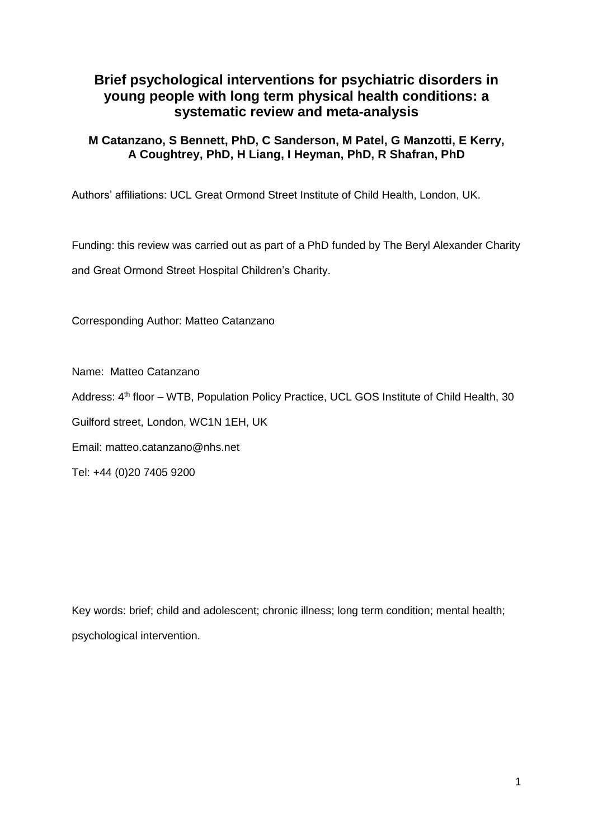# **Brief psychological interventions for psychiatric disorders in young people with long term physical health conditions: a systematic review and meta-analysis**

## **M Catanzano, S Bennett, PhD, C Sanderson, M Patel, G Manzotti, E Kerry, A Coughtrey, PhD, H Liang, I Heyman, PhD, R Shafran, PhD**

Authors' affiliations: UCL Great Ormond Street Institute of Child Health, London, UK.

Funding: this review was carried out as part of a PhD funded by The Beryl Alexander Charity and Great Ormond Street Hospital Children's Charity.

Corresponding Author: Matteo Catanzano

Name: Matteo Catanzano

Address: 4<sup>th</sup> floor – WTB, Population Policy Practice, UCL GOS Institute of Child Health, 30

Guilford street, London, WC1N 1EH, UK

Email: matteo.catanzano@nhs.net

Tel: +44 (0)20 7405 9200

Key words: brief; child and adolescent; chronic illness; long term condition; mental health; psychological intervention.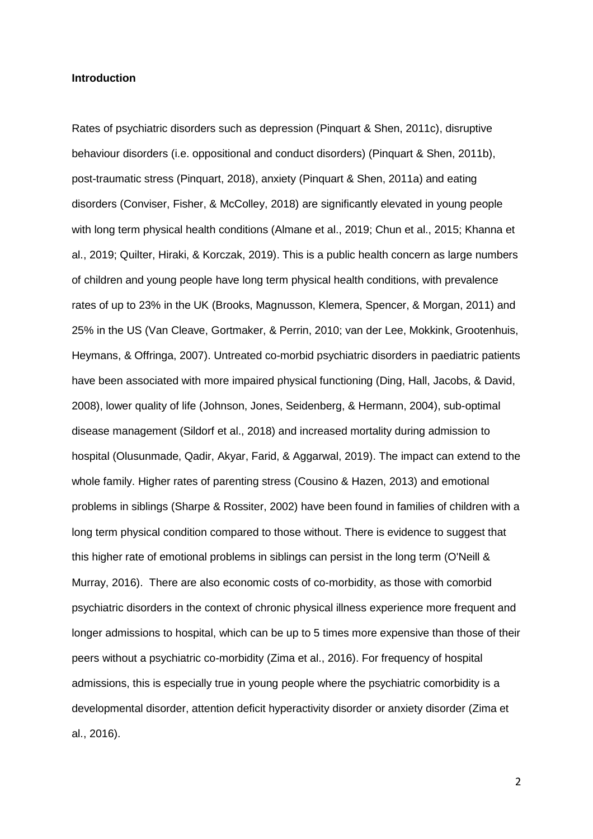#### **Introduction**

Rates of psychiatric disorders such as depression (Pinquart & Shen, 2011c), disruptive behaviour disorders (i.e. oppositional and conduct disorders) (Pinquart & Shen, 2011b), post-traumatic stress (Pinquart, 2018), anxiety (Pinquart & Shen, 2011a) and eating disorders (Conviser, Fisher, & McColley, 2018) are significantly elevated in young people with long term physical health conditions (Almane et al., 2019; Chun et al., 2015; Khanna et al., 2019; Quilter, Hiraki, & Korczak, 2019). This is a public health concern as large numbers of children and young people have long term physical health conditions, with prevalence rates of up to 23% in the UK (Brooks, Magnusson, Klemera, Spencer, & Morgan, 2011) and 25% in the US (Van Cleave, Gortmaker, & Perrin, 2010; van der Lee, Mokkink, Grootenhuis, Heymans, & Offringa, 2007). Untreated co-morbid psychiatric disorders in paediatric patients have been associated with more impaired physical functioning (Ding, Hall, Jacobs, & David, 2008), lower quality of life (Johnson, Jones, Seidenberg, & Hermann, 2004), sub-optimal disease management (Sildorf et al., 2018) and increased mortality during admission to hospital (Olusunmade, Qadir, Akyar, Farid, & Aggarwal, 2019). The impact can extend to the whole family. Higher rates of parenting stress (Cousino & Hazen, 2013) and emotional problems in siblings (Sharpe & Rossiter, 2002) have been found in families of children with a long term physical condition compared to those without. There is evidence to suggest that this higher rate of emotional problems in siblings can persist in the long term (O'Neill & Murray, 2016). There are also economic costs of co-morbidity, as those with comorbid psychiatric disorders in the context of chronic physical illness experience more frequent and longer admissions to hospital, which can be up to 5 times more expensive than those of their peers without a psychiatric co-morbidity (Zima et al., 2016). For frequency of hospital admissions, this is especially true in young people where the psychiatric comorbidity is a developmental disorder, attention deficit hyperactivity disorder or anxiety disorder (Zima et al., 2016).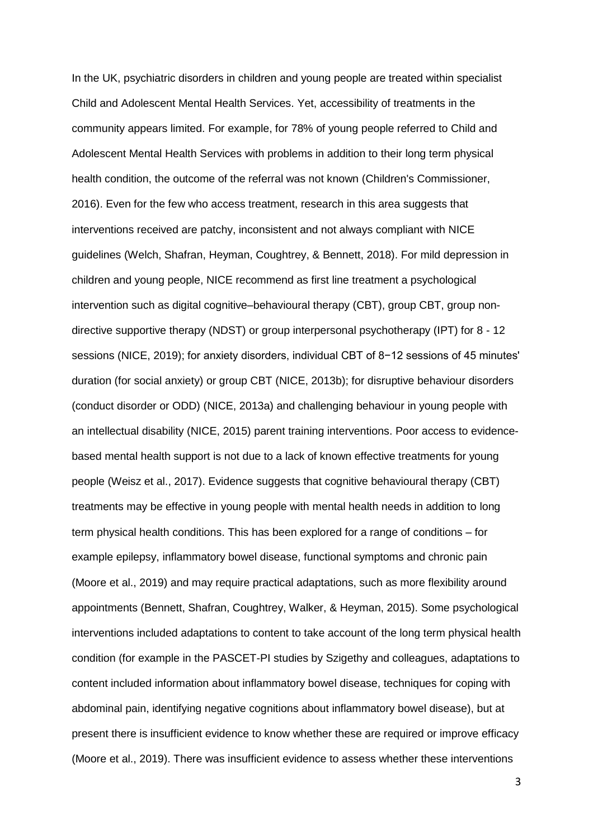In the UK, psychiatric disorders in children and young people are treated within specialist Child and Adolescent Mental Health Services. Yet, accessibility of treatments in the community appears limited. For example, for 78% of young people referred to Child and Adolescent Mental Health Services with problems in addition to their long term physical health condition, the outcome of the referral was not known (Children's Commissioner, 2016). Even for the few who access treatment, research in this area suggests that interventions received are patchy, inconsistent and not always compliant with NICE guidelines (Welch, Shafran, Heyman, Coughtrey, & Bennett, 2018). For mild depression in children and young people, NICE recommend as first line treatment a psychological intervention such as digital cognitive–behavioural therapy (CBT), group CBT, group nondirective supportive therapy (NDST) or group interpersonal psychotherapy (IPT) for 8 - 12 sessions (NICE, 2019); for anxiety disorders, individual CBT of 8−12 sessions of 45 minutes' duration (for social anxiety) or group CBT (NICE, 2013b); for disruptive behaviour disorders (conduct disorder or ODD) (NICE, 2013a) and challenging behaviour in young people with an intellectual disability (NICE, 2015) parent training interventions. Poor access to evidencebased mental health support is not due to a lack of known effective treatments for young people (Weisz et al., 2017). Evidence suggests that cognitive behavioural therapy (CBT) treatments may be effective in young people with mental health needs in addition to long term physical health conditions. This has been explored for a range of conditions – for example epilepsy, inflammatory bowel disease, functional symptoms and chronic pain (Moore et al., 2019) and may require practical adaptations, such as more flexibility around appointments (Bennett, Shafran, Coughtrey, Walker, & Heyman, 2015). Some psychological interventions included adaptations to content to take account of the long term physical health condition (for example in the PASCET-PI studies by Szigethy and colleagues, adaptations to content included information about inflammatory bowel disease, techniques for coping with abdominal pain, identifying negative cognitions about inflammatory bowel disease), but at present there is insufficient evidence to know whether these are required or improve efficacy (Moore et al., 2019). There was insufficient evidence to assess whether these interventions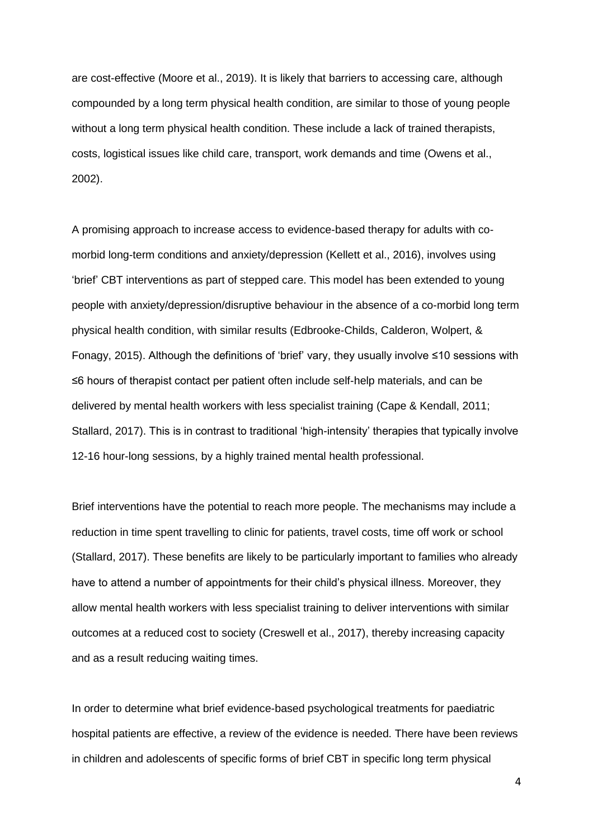are cost-effective (Moore et al., 2019). It is likely that barriers to accessing care, although compounded by a long term physical health condition, are similar to those of young people without a long term physical health condition. These include a lack of trained therapists, costs, logistical issues like child care, transport, work demands and time (Owens et al., 2002).

A promising approach to increase access to evidence-based therapy for adults with comorbid long-term conditions and anxiety/depression (Kellett et al., 2016), involves using 'brief' CBT interventions as part of stepped care. This model has been extended to young people with anxiety/depression/disruptive behaviour in the absence of a co-morbid long term physical health condition, with similar results (Edbrooke-Childs, Calderon, Wolpert, & Fonagy, 2015). Although the definitions of 'brief' vary, they usually involve ≤10 sessions with ≤6 hours of therapist contact per patient often include self-help materials, and can be delivered by mental health workers with less specialist training (Cape & Kendall, 2011; Stallard, 2017). This is in contrast to traditional 'high-intensity' therapies that typically involve 12-16 hour-long sessions, by a highly trained mental health professional.

Brief interventions have the potential to reach more people. The mechanisms may include a reduction in time spent travelling to clinic for patients, travel costs, time off work or school (Stallard, 2017). These benefits are likely to be particularly important to families who already have to attend a number of appointments for their child's physical illness. Moreover, they allow mental health workers with less specialist training to deliver interventions with similar outcomes at a reduced cost to society (Creswell et al., 2017), thereby increasing capacity and as a result reducing waiting times.

In order to determine what brief evidence-based psychological treatments for paediatric hospital patients are effective, a review of the evidence is needed. There have been reviews in children and adolescents of specific forms of brief CBT in specific long term physical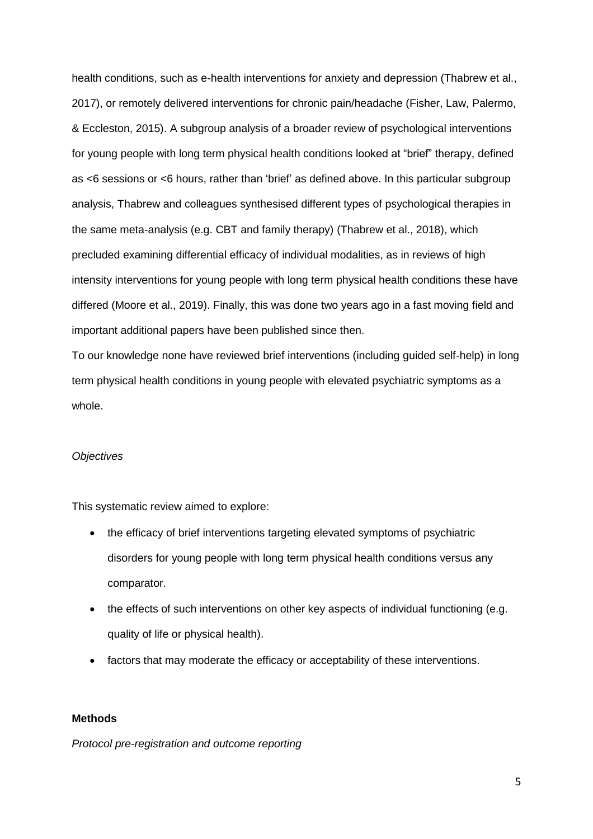health conditions, such as e-health interventions for anxiety and depression (Thabrew et al., 2017), or remotely delivered interventions for chronic pain/headache (Fisher, Law, Palermo, & Eccleston, 2015). A subgroup analysis of a broader review of psychological interventions for young people with long term physical health conditions looked at "brief" therapy, defined as <6 sessions or <6 hours, rather than 'brief' as defined above. In this particular subgroup analysis, Thabrew and colleagues synthesised different types of psychological therapies in the same meta-analysis (e.g. CBT and family therapy) (Thabrew et al., 2018), which precluded examining differential efficacy of individual modalities, as in reviews of high intensity interventions for young people with long term physical health conditions these have differed (Moore et al., 2019). Finally, this was done two years ago in a fast moving field and important additional papers have been published since then.

To our knowledge none have reviewed brief interventions (including guided self-help) in long term physical health conditions in young people with elevated psychiatric symptoms as a whole.

#### *Objectives*

This systematic review aimed to explore:

- the efficacy of brief interventions targeting elevated symptoms of psychiatric disorders for young people with long term physical health conditions versus any comparator.
- the effects of such interventions on other key aspects of individual functioning (e.g. quality of life or physical health).
- factors that may moderate the efficacy or acceptability of these interventions.

#### **Methods**

*Protocol pre-registration and outcome reporting*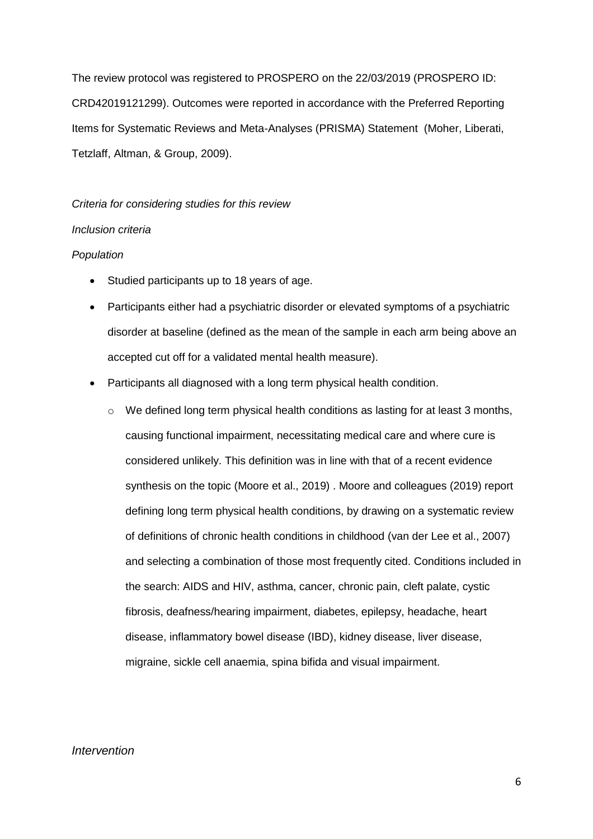The review protocol was registered to PROSPERO on the 22/03/2019 (PROSPERO ID: CRD42019121299). Outcomes were reported in accordance with the Preferred Reporting Items for Systematic Reviews and Meta-Analyses (PRISMA) Statement (Moher, Liberati, Tetzlaff, Altman, & Group, 2009).

#### *Criteria for considering studies for this review*

## *Inclusion criteria*

#### *Population*

- Studied participants up to 18 years of age.
- Participants either had a psychiatric disorder or elevated symptoms of a psychiatric disorder at baseline (defined as the mean of the sample in each arm being above an accepted cut off for a validated mental health measure).
- Participants all diagnosed with a long term physical health condition.
	- $\circ$  We defined long term physical health conditions as lasting for at least 3 months, causing functional impairment, necessitating medical care and where cure is considered unlikely. This definition was in line with that of a recent evidence synthesis on the topic (Moore et al., 2019) . Moore and colleagues (2019) report defining long term physical health conditions, by drawing on a systematic review of definitions of chronic health conditions in childhood (van der Lee et al., 2007) and selecting a combination of those most frequently cited. Conditions included in the search: AIDS and HIV, asthma, cancer, chronic pain, cleft palate, cystic fibrosis, deafness/hearing impairment, diabetes, epilepsy, headache, heart disease, inflammatory bowel disease (IBD), kidney disease, liver disease, migraine, sickle cell anaemia, spina bifida and visual impairment.

#### *Intervention*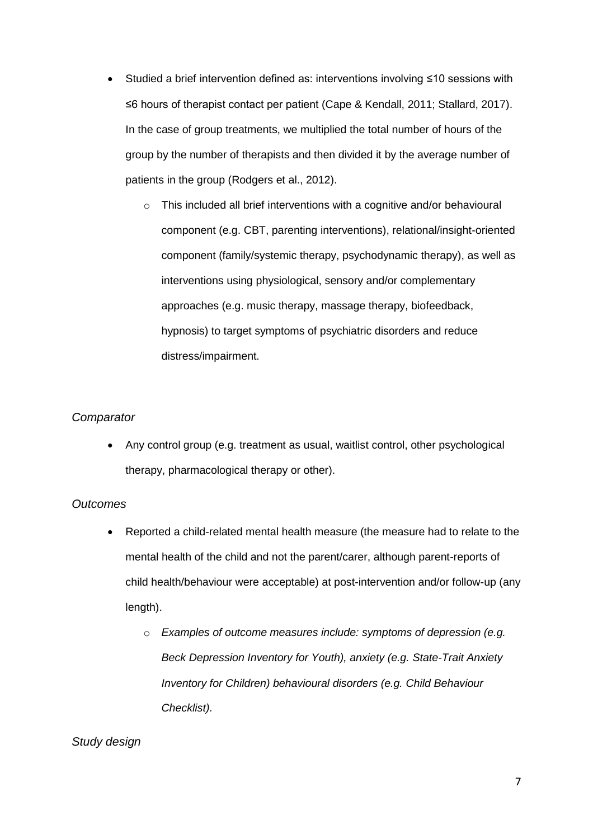- Studied a brief intervention defined as: interventions involving ≤10 sessions with ≤6 hours of therapist contact per patient (Cape & Kendall, 2011; Stallard, 2017). In the case of group treatments, we multiplied the total number of hours of the group by the number of therapists and then divided it by the average number of patients in the group (Rodgers et al., 2012).
	- o This included all brief interventions with a cognitive and/or behavioural component (e.g. CBT, parenting interventions), relational/insight-oriented component (family/systemic therapy, psychodynamic therapy), as well as interventions using physiological, sensory and/or complementary approaches (e.g. music therapy, massage therapy, biofeedback, hypnosis) to target symptoms of psychiatric disorders and reduce distress/impairment.

## *Comparator*

 Any control group (e.g. treatment as usual, waitlist control, other psychological therapy, pharmacological therapy or other).

## *Outcomes*

- Reported a child-related mental health measure (the measure had to relate to the mental health of the child and not the parent/carer, although parent-reports of child health/behaviour were acceptable) at post-intervention and/or follow-up (any length).
	- o *Examples of outcome measures include: symptoms of depression (e.g. Beck Depression Inventory for Youth), anxiety (e.g. State-Trait Anxiety Inventory for Children) behavioural disorders (e.g. Child Behaviour Checklist).*

## *Study design*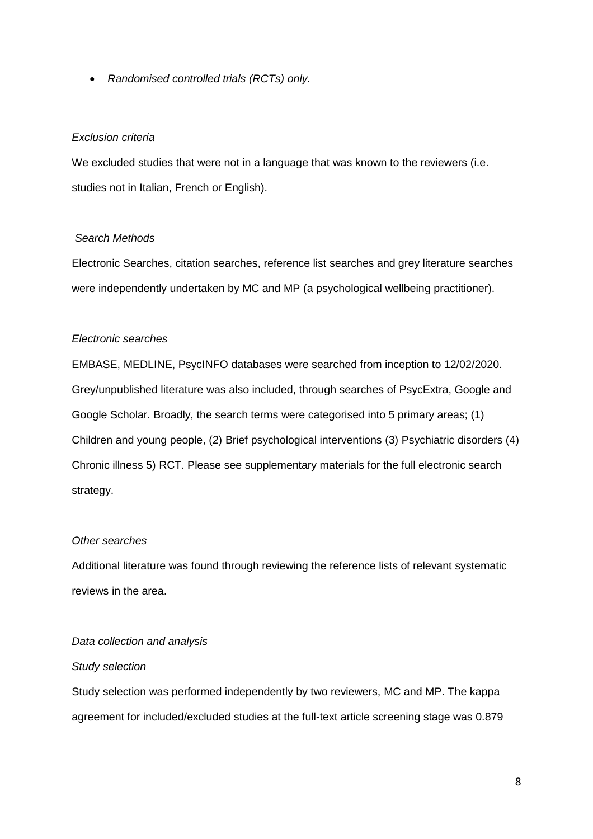*Randomised controlled trials (RCTs) only.*

## *Exclusion criteria*

We excluded studies that were not in a language that was known to the reviewers (i.e. studies not in Italian, French or English).

## *[Search Methods](https://adc.bmj.com/content/100/4/308.long#ref-25)*

[Electronic Searches, citation searches, reference list searches and grey literature searches](https://adc.bmj.com/content/100/4/308.long#ref-25)  [were independently undertaken by MC and MP](https://adc.bmj.com/content/100/4/308.long#ref-25) (a psychological wellbeing practitioner).

## *[Electronic searches](https://adc.bmj.com/content/100/4/308.long#ref-25)*

[EMBASE, MEDLINE, PsycINFO databases were searched from inception to 12/02/2020.](https://adc.bmj.com/content/100/4/308.long#ref-25)  [Grey/unpublished literature was also included, through searches of PsycExtra, Google and](https://adc.bmj.com/content/100/4/308.long#ref-25)  [Google Scholar. Broadly, the search terms were categorised into 5 primary areas; \(1\)](https://adc.bmj.com/content/100/4/308.long#ref-25)  Children and young people, (2) Brief [psychological interventions \(3\) Psychiatric disorders](https://adc.bmj.com/content/100/4/308.long#ref-25) (4) [Chronic illness 5\) RCT. Please see supplementary](https://adc.bmj.com/content/100/4/308.long#ref-25) materials for the full electronic search [strategy.](https://adc.bmj.com/content/100/4/308.long#ref-25)

## *Other searches*

Additional literature was found through reviewing the reference lists of relevant systematic reviews in the area.

## *Data collection and analysis*

## *Study selection*

Study selection was performed independently by two reviewers, MC and MP. The kappa agreement for included/excluded studies at the full-text article screening stage was 0.879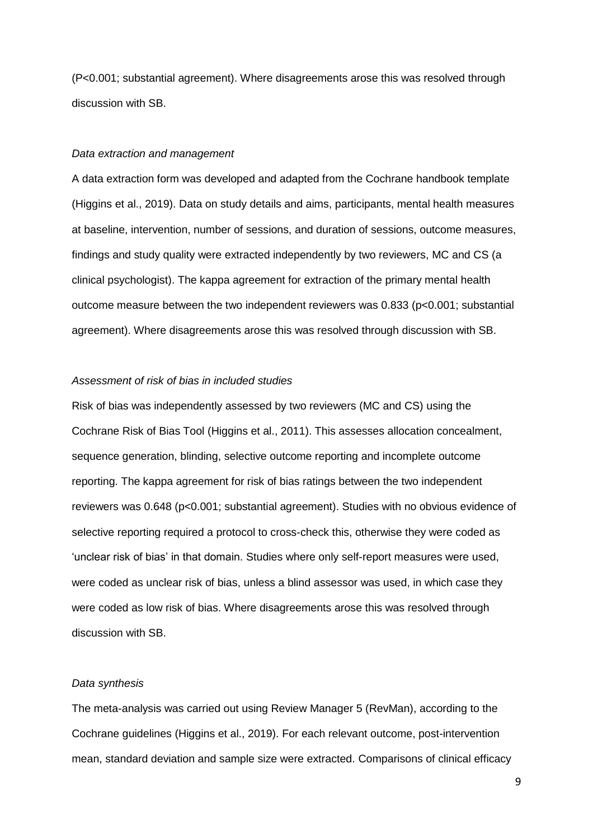(P<0.001; substantial agreement). Where disagreements arose this was resolved through discussion with SB.

#### *Data extraction and management*

A data extraction form was developed and adapted from the Cochrane handbook template (Higgins et al., 2019). Data on study details and aims, participants, mental health measures at baseline, intervention, number of sessions, and duration of sessions, outcome measures, findings and study quality were extracted independently by two reviewers, MC and CS (a clinical psychologist). The kappa agreement for extraction of the primary mental health outcome measure between the two independent reviewers was 0.833 (p<0.001; substantial agreement). Where disagreements arose this was resolved through discussion with SB.

### *Assessment of risk of bias in included studies*

Risk of bias was independently assessed by two reviewers (MC and CS) using the Cochrane Risk of Bias Tool (Higgins et al., 2011). This assesses allocation concealment, sequence generation, blinding, selective outcome reporting and incomplete outcome reporting. The kappa agreement for risk of bias ratings between the two independent reviewers was 0.648 (p<0.001; substantial agreement). Studies with no obvious evidence of selective reporting required a protocol to cross-check this, otherwise they were coded as 'unclear risk of bias' in that domain. Studies where only self-report measures were used, were coded as unclear risk of bias, unless a blind assessor was used, in which case they were coded as low risk of bias. Where disagreements arose this was resolved through discussion with SB.

## *Data synthesis*

The meta-analysis was carried out using Review Manager 5 (RevMan), according to the Cochrane guidelines (Higgins et al., 2019). For each relevant outcome, post-intervention mean, standard deviation and sample size were extracted. Comparisons of clinical efficacy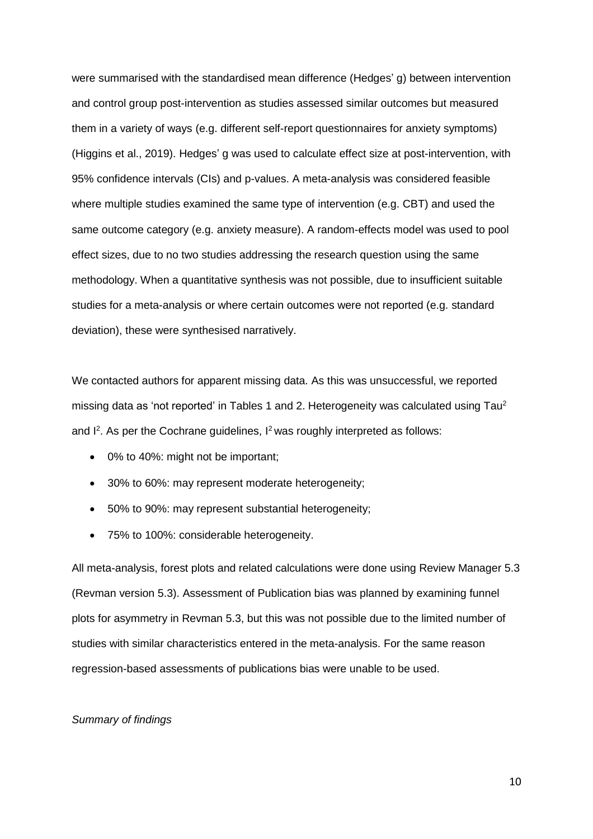were summarised with the standardised mean difference (Hedges' g) between intervention and control group post-intervention as studies assessed similar outcomes but measured them in a variety of ways (e.g. different self-report questionnaires for anxiety symptoms) (Higgins et al., 2019). Hedges' g was used to calculate effect size at post-intervention, with 95% confidence intervals (CIs) and p-values. A meta-analysis was considered feasible where multiple studies examined the same type of intervention (e.g. CBT) and used the same outcome category (e.g. anxiety measure). A random-effects model was used to pool effect sizes, due to no two studies addressing the research question using the same methodology. When a quantitative synthesis was not possible, due to insufficient suitable studies for a meta-analysis or where certain outcomes were not reported (e.g. standard deviation), these were synthesised narratively.

We contacted authors for apparent missing data. As this was unsuccessful, we reported missing data as 'not reported' in Tables 1 and 2. Heterogeneity was calculated using Tau<sup>2</sup> and I<sup>2</sup>. As per the Cochrane guidelines, I<sup>2</sup> was roughly interpreted as follows:

- 0% to 40%: might not be important;
- 30% to 60%: may represent moderate heterogeneity;
- 50% to 90%: may represent substantial heterogeneity;
- 75% to 100%: considerable heterogeneity.

All meta-analysis, forest plots and related calculations were done using Review Manager 5.3 (Revman version 5.3). Assessment of Publication bias was planned by examining funnel plots for asymmetry in Revman 5.3, but this was not possible due to the limited number of studies with similar characteristics entered in the meta-analysis. For the same reason regression-based assessments of publications bias were unable to be used.

#### *Summary of findings*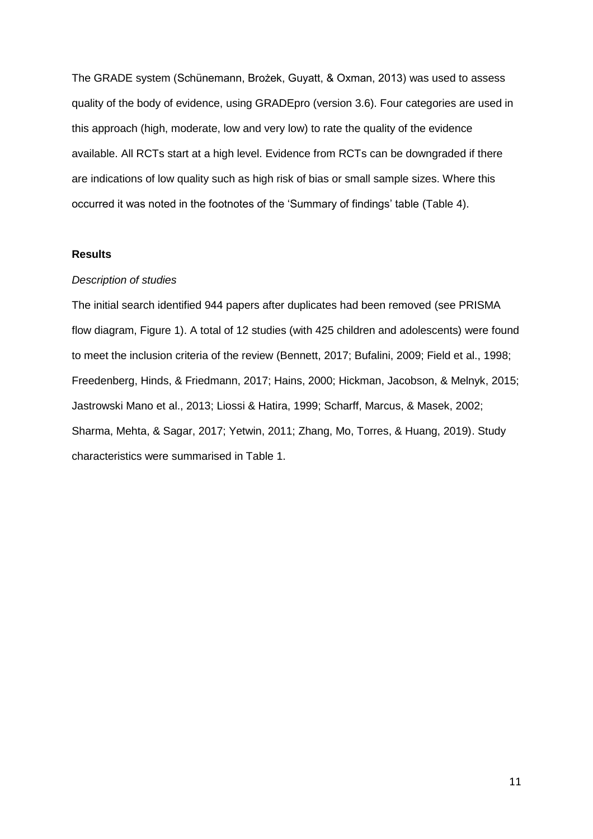The GRADE system (Schünemann, Brożek, Guyatt, & Oxman, 2013) was used to assess quality of the body of evidence, using GRADEpro (version 3.6). Four categories are used in this approach (high, moderate, low and very low) to rate the quality of the evidence available. All RCTs start at a high level. Evidence from RCTs can be downgraded if there are indications of low quality such as high risk of bias or small sample sizes. Where this occurred it was noted in the footnotes of the 'Summary of findings' table (Table 4).

### **Results**

#### *Description of studies*

The initial search identified 944 papers after duplicates had been removed (see PRISMA flow diagram, Figure 1). A total of 12 studies (with 425 children and adolescents) were found to meet the inclusion criteria of the review (Bennett, 2017; Bufalini, 2009; Field et al., 1998; Freedenberg, Hinds, & Friedmann, 2017; Hains, 2000; Hickman, Jacobson, & Melnyk, 2015; Jastrowski Mano et al., 2013; Liossi & Hatira, 1999; Scharff, Marcus, & Masek, 2002; Sharma, Mehta, & Sagar, 2017; Yetwin, 2011; Zhang, Mo, Torres, & Huang, 2019). Study characteristics were summarised in Table 1.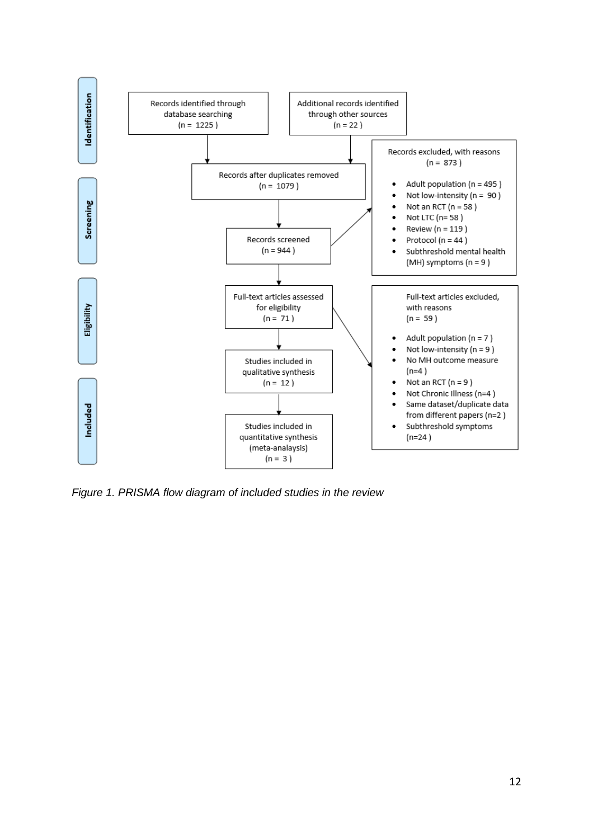

*Figure 1. PRISMA flow diagram of included studies in the review*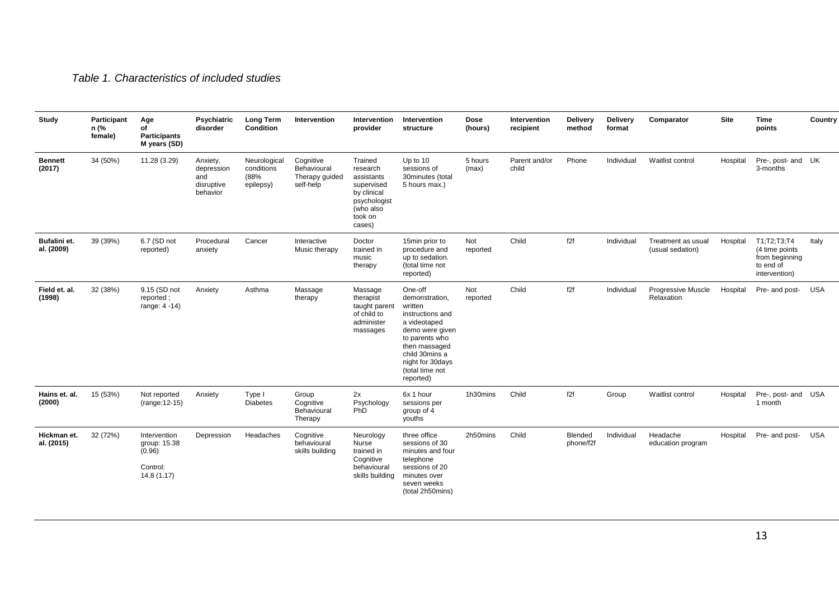## *Table 1. Characteristics of included studies*

| Study                      | Participant<br>n (%<br>female) | Age<br>of<br><b>Participants</b><br>M years (SD)                 | <b>Psychiatric</b><br>disorder                          | <b>Long Term</b><br>Condition                   | Intervention                                            | Intervention<br>provider                                                                                         | Intervention<br>structure                                                                                                                                                                            | Dose<br>(hours)  | Intervention<br>recipient | <b>Delivery</b><br>method | <b>Delivery</b><br>format | Comparator                             | Site     | <b>Time</b><br>points                                                            | Country    |
|----------------------------|--------------------------------|------------------------------------------------------------------|---------------------------------------------------------|-------------------------------------------------|---------------------------------------------------------|------------------------------------------------------------------------------------------------------------------|------------------------------------------------------------------------------------------------------------------------------------------------------------------------------------------------------|------------------|---------------------------|---------------------------|---------------------------|----------------------------------------|----------|----------------------------------------------------------------------------------|------------|
| <b>Bennett</b><br>(2017)   | 34 (50%)                       | 11.28 (3.29)                                                     | Anxiety,<br>depression<br>and<br>disruptive<br>behavior | Neurological<br>conditions<br>(88%<br>epilepsy) | Cognitive<br>Behavioural<br>Therapy guided<br>self-help | Trained<br>research<br>assistants<br>supervised<br>by clinical<br>psychologist<br>(who also<br>took on<br>cases) | Up to 10<br>sessions of<br>30minutes (total<br>5 hours max.)                                                                                                                                         | 5 hours<br>(max) | Parent and/or<br>child    | Phone                     | Individual                | Waitlist control                       | Hospital | Pre-, post- and UK<br>3-months                                                   |            |
| Bufalini et.<br>al. (2009) | 39 (39%)                       | 6.7 (SD not<br>reported)                                         | Procedural<br>anxiety                                   | Cancer                                          | Interactive<br>Music therapy                            | Doctor<br>trained in<br>music<br>therapy                                                                         | 15min prior to<br>procedure and<br>up to sedation.<br>(total time not<br>reported)                                                                                                                   | Not<br>reported  | Child                     | f2f                       | Individual                | Treatment as usual<br>(usual sedation) | Hospital | T1; T2; T3; T4<br>(4 time points<br>from beginning<br>to end of<br>intervention) | Italy      |
| Field et. al.<br>(1998)    | 32 (38%)                       | 9.15 (SD not<br>reported;<br>range: 4 -14)                       | Anxiety                                                 | Asthma                                          | Massage<br>therapy                                      | Massage<br>therapist<br>taught parent<br>of child to<br>administer<br>massages                                   | One-off<br>demonstration,<br>written<br>instructions and<br>a videotaped<br>demo were given<br>to parents who<br>then massaged<br>child 30mins a<br>night for 30days<br>(total time not<br>reported) | Not<br>reported  | Child                     | f2f                       | Individual                | Progressive Muscle<br>Relaxation       | Hospital | Pre- and post-                                                                   | <b>USA</b> |
| Hains et. al.<br>(2000)    | 15 (53%)                       | Not reported<br>(range: 12-15)                                   | Anxiety                                                 | Type I<br><b>Diabetes</b>                       | Group<br>Cognitive<br>Behavioural<br>Therapy            | 2x<br>Psychology<br>PhD                                                                                          | 6x 1 hour<br>sessions per<br>group of 4<br>youths                                                                                                                                                    | 1h30mins         | Child                     | f2f                       | Group                     | Waitlist control                       | Hospital | Pre-, post- and USA<br>1 month                                                   |            |
| Hickman et.<br>al. (2015)  | 32 (72%)                       | Intervention<br>group: 15.38<br>(0.96)<br>Control:<br>14.8(1.17) | Depression                                              | Headaches                                       | Cognitive<br>behavioural<br>skills building             | Neurology<br>Nurse<br>trained in<br>Cognitive<br>behavioural<br>skills building                                  | three office<br>sessions of 30<br>minutes and four<br>telephone<br>sessions of 20<br>minutes over<br>seven weeks<br>(total 2h50mins)                                                                 | 2h50mins         | Child                     | Blended<br>phone/f2f      | Individual                | Headache<br>education program          | Hospital | Pre- and post-                                                                   | <b>USA</b> |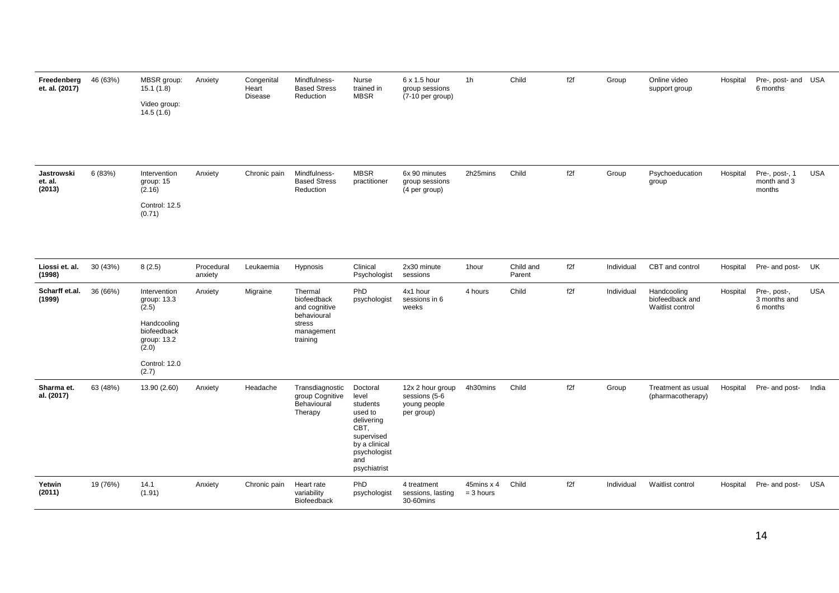| Freedenberg<br>et. al. (2017)   | 46 (63%) | MBSR group:<br>15.1(1.8)<br>Video group:<br>14.5(1.6)                                      | Anxiety               | Congenital<br>Heart<br><b>Disease</b> | Mindfulness-<br><b>Based Stress</b><br>Reduction                                           | Nurse<br>trained in<br><b>MBSR</b>                                                                                                   | 6 x 1.5 hour<br>group sessions<br>(7-10 per group)              | 1 <sub>h</sub>            | Child               | f2f | Group      | Online video<br>support group                      | Hospital | Pre-, post- and USA<br>6 months          |            |
|---------------------------------|----------|--------------------------------------------------------------------------------------------|-----------------------|---------------------------------------|--------------------------------------------------------------------------------------------|--------------------------------------------------------------------------------------------------------------------------------------|-----------------------------------------------------------------|---------------------------|---------------------|-----|------------|----------------------------------------------------|----------|------------------------------------------|------------|
|                                 |          |                                                                                            |                       |                                       |                                                                                            |                                                                                                                                      |                                                                 |                           |                     |     |            |                                                    |          |                                          |            |
| Jastrowski<br>et. al.<br>(2013) | 6 (83%)  | Intervention<br>group: 15<br>(2.16)                                                        | Anxiety               | Chronic pain                          | Mindfulness-<br><b>Based Stress</b><br>Reduction                                           | <b>MBSR</b><br>practitioner                                                                                                          | 6x 90 minutes<br>group sessions<br>(4 per group)                | 2h25mins                  | Child               | f2f | Group      | Psychoeducation<br>group                           | Hospital | Pre-, post-, 1<br>month and 3<br>months  | <b>USA</b> |
|                                 |          | Control: 12.5<br>(0.71)                                                                    |                       |                                       |                                                                                            |                                                                                                                                      |                                                                 |                           |                     |     |            |                                                    |          |                                          |            |
| Liossi et. al.<br>(1998)        | 30 (43%) | 8(2.5)                                                                                     | Procedural<br>anxiety | Leukaemia                             | Hypnosis                                                                                   | Clinical<br>Psychologist                                                                                                             | 2x30 minute<br>sessions                                         | 1hour                     | Child and<br>Parent | f2f | Individual | CBT and control                                    | Hospital | Pre- and post- UK                        |            |
| Scharff et.al.<br>(1999)        | 36 (66%) | Intervention<br>group: 13.3<br>(2.5)<br>Handcooling<br>biofeedback<br>group: 13.2<br>(2.0) | Anxiety               | Migraine                              | Thermal<br>biofeedback<br>and cognitive<br>behavioural<br>stress<br>management<br>training | PhD<br>psychologist                                                                                                                  | 4x1 hour<br>sessions in 6<br>weeks                              | 4 hours                   | Child               | f2f | Individual | Handcooling<br>biofeedback and<br>Waitlist control | Hospital | Pre-, post-,<br>3 months and<br>6 months | <b>USA</b> |
|                                 |          | Control: 12.0<br>(2.7)                                                                     |                       |                                       |                                                                                            |                                                                                                                                      |                                                                 |                           |                     |     |            |                                                    |          |                                          |            |
| Sharma et.<br>al. (2017)        | 63 (48%) | 13.90 (2.60)                                                                               | Anxiety               | Headache                              | Transdiagnostic<br>group Cognitive<br>Behavioural<br>Therapy                               | Doctoral<br>level<br>students<br>used to<br>delivering<br>CBT,<br>supervised<br>by a clinical<br>psychologist<br>and<br>psychiatrist | 12x 2 hour group<br>sessions (5-6<br>young people<br>per group) | 4h30mins                  | Child               | f2f | Group      | Treatment as usual<br>(pharmacotherapy)            | Hospital | Pre- and post-                           | India      |
| Yetwin<br>(2011)                | 19 (76%) | 14.1<br>(1.91)                                                                             | Anxiety               | Chronic pain                          | Heart rate<br>variability<br>Biofeedback                                                   | PhD<br>psychologist                                                                                                                  | 4 treatment<br>sessions, lasting<br>30-60mins                   | 45mins x 4<br>$= 3$ hours | Child               | f2f | Individual | Waitlist control                                   | Hospital | Pre- and post-                           | USA        |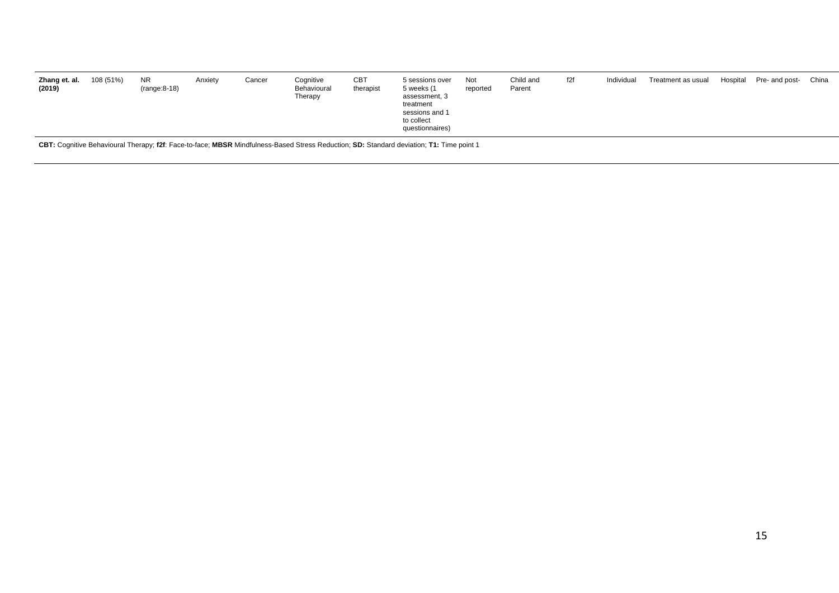| to collect<br>questionnaires) | 108 (51%)<br>f2f<br><b>CBT</b><br><b>NR</b><br>Cancer<br>Cognitive<br>Child and<br>Zhang et. al.<br>Hospital Pre- and post- China<br>Not<br>Individual<br>Treatment as usual<br>Anxiety<br>5 sessions over<br>$(range:8-18)$<br>Behavioural<br>therapist<br>(2019)<br>5 weeks (1<br>Parent<br>reported<br>Therapy<br>assessment, 3<br>treatment<br>sessions and 1 |
|-------------------------------|-------------------------------------------------------------------------------------------------------------------------------------------------------------------------------------------------------------------------------------------------------------------------------------------------------------------------------------------------------------------|
|-------------------------------|-------------------------------------------------------------------------------------------------------------------------------------------------------------------------------------------------------------------------------------------------------------------------------------------------------------------------------------------------------------------|

**CBT:** Cognitive Behavioural Therapy; **f2f**: Face-to-face; **MBSR** Mindfulness-Based Stress Reduction; **SD:** Standard deviation; **T1:** Time point 1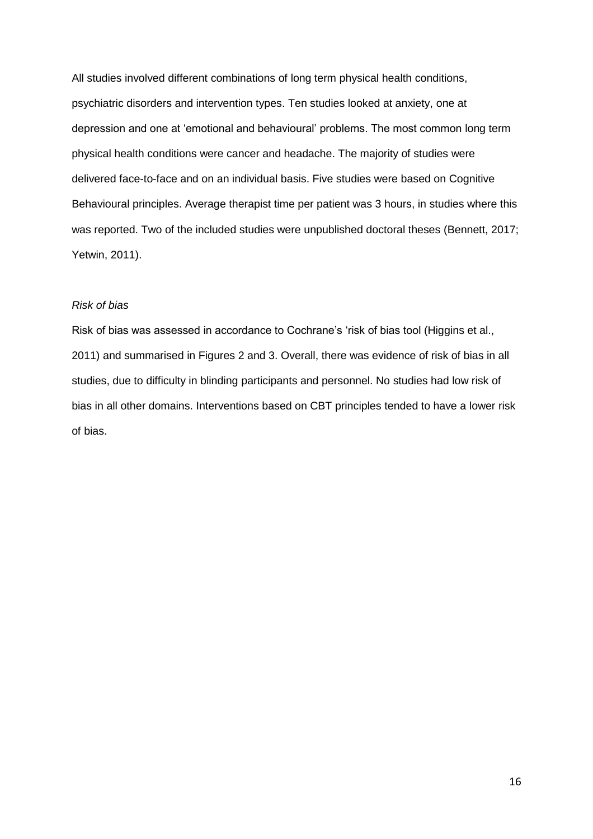All studies involved different combinations of long term physical health conditions, psychiatric disorders and intervention types. Ten studies looked at anxiety, one at depression and one at 'emotional and behavioural' problems. The most common long term physical health conditions were cancer and headache. The majority of studies were delivered face-to-face and on an individual basis. Five studies were based on Cognitive Behavioural principles. Average therapist time per patient was 3 hours, in studies where this was reported. Two of the included studies were unpublished doctoral theses (Bennett, 2017; Yetwin, 2011).

### *Risk of bias*

Risk of bias was assessed in accordance to Cochrane's 'risk of bias tool (Higgins et al., 2011) and summarised in Figures 2 and 3. Overall, there was evidence of risk of bias in all studies, due to difficulty in blinding participants and personnel. No studies had low risk of bias in all other domains. Interventions based on CBT principles tended to have a lower risk of bias.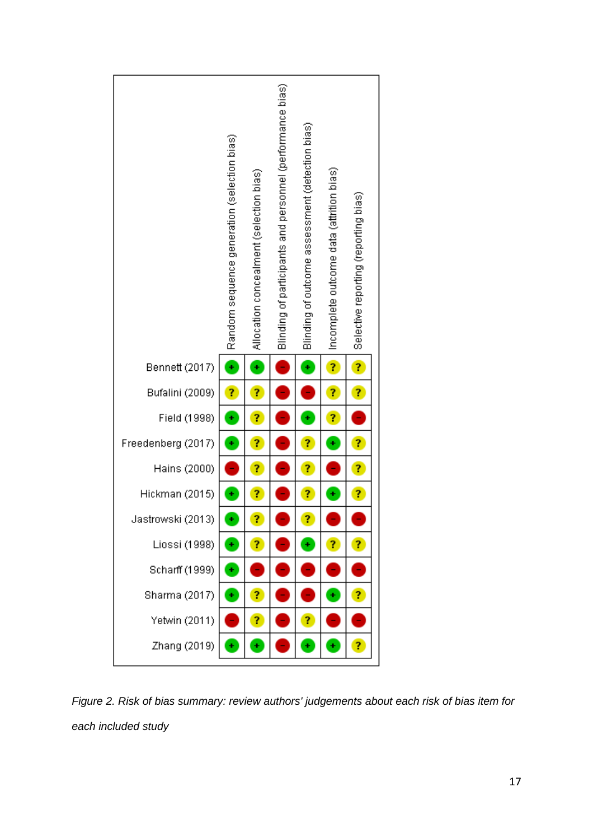

*Figure 2. Risk of bias summary: review authors' judgements about each risk of bias item for each included study*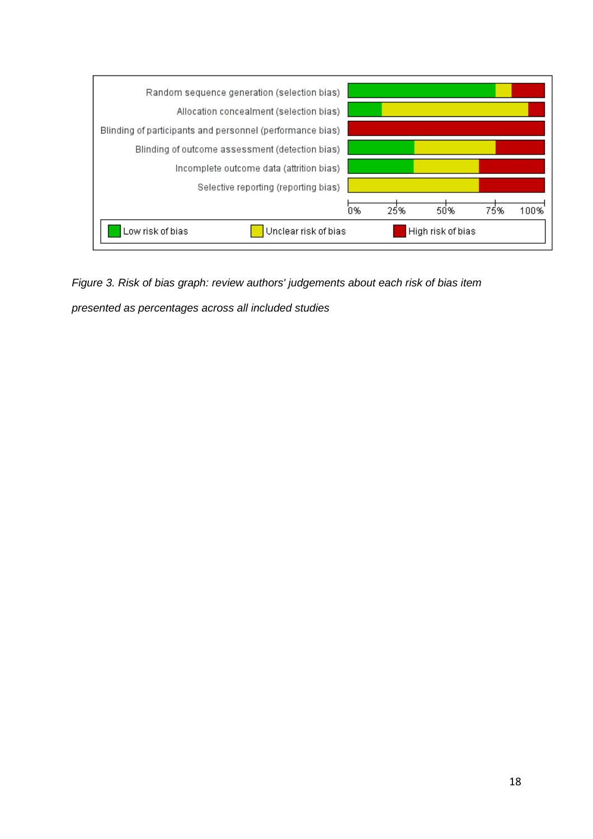

*Figure 3. Risk of bias graph: review authors' judgements about each risk of bias item* 

*presented as percentages across all included studies*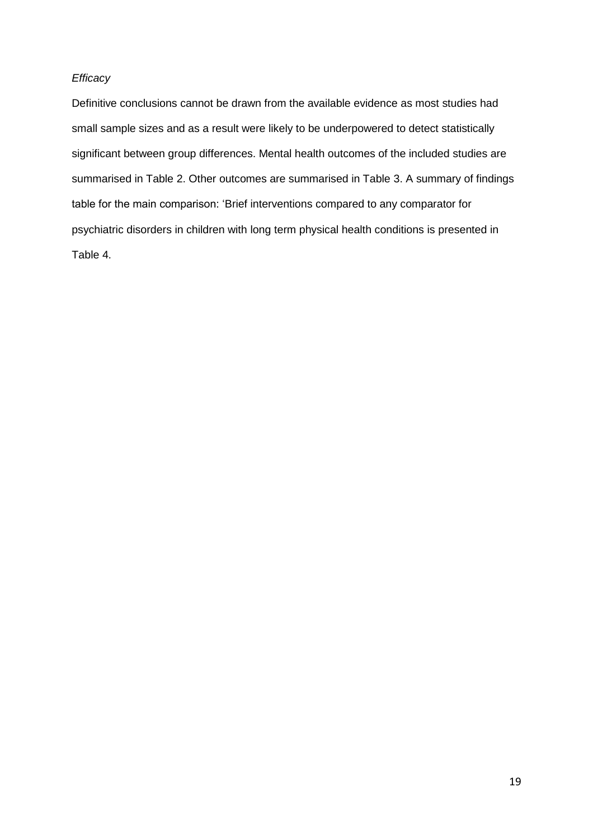## *Efficacy*

Definitive conclusions cannot be drawn from the available evidence as most studies had small sample sizes and as a result were likely to be underpowered to detect statistically significant between group differences. Mental health outcomes of the included studies are summarised in Table 2. Other outcomes are summarised in Table 3. A summary of findings table for the main comparison: 'Brief interventions compared to any comparator for psychiatric disorders in children with long term physical health conditions is presented in Table 4.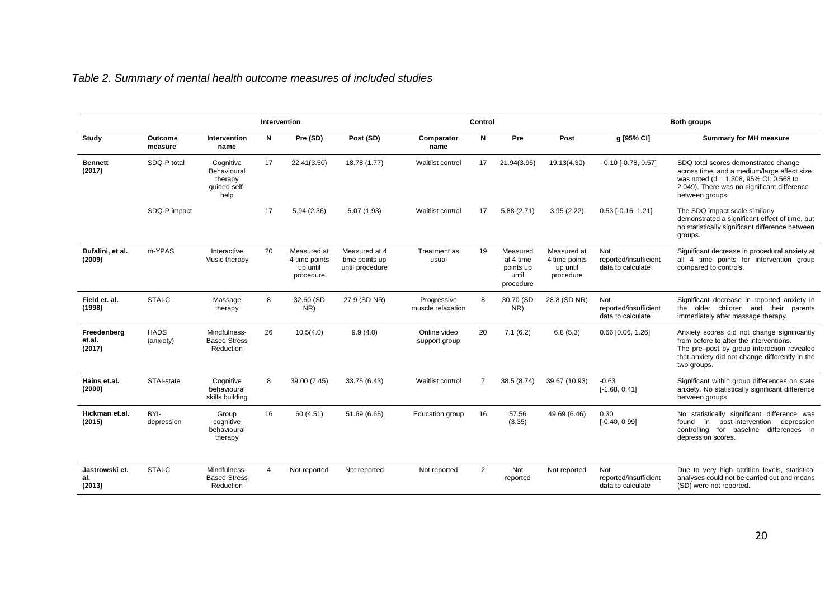# *Table 2. Summary of mental health outcome measures of included studies*

|                                 |                          |                                                             |    | Intervention                                          |                                                    |                                  | Control        |                                                          |                                                       |                                                   | <b>Both groups</b>                                                                                                                                                                                    |
|---------------------------------|--------------------------|-------------------------------------------------------------|----|-------------------------------------------------------|----------------------------------------------------|----------------------------------|----------------|----------------------------------------------------------|-------------------------------------------------------|---------------------------------------------------|-------------------------------------------------------------------------------------------------------------------------------------------------------------------------------------------------------|
| Study                           | Outcome<br>measure       | Intervention<br>name                                        | N  | Pre (SD)                                              | Post (SD)                                          | Comparator<br>name               | N              | Pre                                                      | Post                                                  | g [95% CI]                                        | <b>Summary for MH measure</b>                                                                                                                                                                         |
| <b>Bennett</b><br>(2017)        | SDQ-P total              | Cognitive<br>Behavioural<br>therapy<br>quided self-<br>help | 17 | 22.41(3.50)                                           | 18.78 (1.77)                                       | Waitlist control                 | 17             | 21.94(3.96)                                              | 19.13(4.30)                                           | $-0.10$ [ $-0.78$ , $0.57$ ]                      | SDQ total scores demonstrated change<br>across time, and a medium/large effect size<br>was noted (d = 1.308, 95% CI: 0.568 to<br>2.049). There was no significant difference<br>between groups.       |
|                                 | SDQ-P impact             |                                                             | 17 | 5.94(2.36)                                            | 5.07(1.93)                                         | Waitlist control                 | 17             | 5.88(2.71)                                               | 3.95(2.22)                                            | $0.53$ [ $-0.16$ , 1.21]                          | The SDQ impact scale similarly<br>demonstrated a significant effect of time, but<br>no statistically significant difference between<br>groups.                                                        |
| Bufalini, et al.<br>(2009)      | m-YPAS                   | Interactive<br>Music therapy                                | 20 | Measured at<br>4 time points<br>up until<br>procedure | Measured at 4<br>time points up<br>until procedure | Treatment as<br>usual            | 19             | Measured<br>at 4 time<br>points up<br>until<br>procedure | Measured at<br>4 time points<br>up until<br>procedure | Not<br>reported/insufficient<br>data to calculate | Significant decrease in procedural anxiety at<br>all 4 time points for intervention group<br>compared to controls.                                                                                    |
| Field et. al.<br>(1998)         | STAI-C                   | Massage<br>therapy                                          | 8  | 32.60 (SD<br>NR)                                      | 27.9 (SD NR)                                       | Progressive<br>muscle relaxation | 8              | 30.70 (SD<br>NR)                                         | 28.8 (SD NR)                                          | Not<br>reported/insufficient<br>data to calculate | Significant decrease in reported anxiety in<br>the older children and their parents<br>immediately after massage therapy.                                                                             |
| Freedenberg<br>et.al.<br>(2017) | <b>HADS</b><br>(anxiety) | Mindfulness-<br><b>Based Stress</b><br>Reduction            | 26 | 10.5(4.0)                                             | 9.9(4.0)                                           | Online video<br>support group    | 20             | 7.1(6.2)                                                 | 6.8(5.3)                                              | $0.66$ [0.06, 1.26]                               | Anxiety scores did not change significantly<br>from before to after the interventions.<br>The pre-post by group interaction revealed<br>that anxiety did not change differently in the<br>two groups. |
| Hains et.al.<br>(2000)          | STAI-state               | Cognitive<br>behavioural<br>skills building                 | 8  | 39.00 (7.45)                                          | 33.75 (6.43)                                       | Waitlist control                 | $\overline{7}$ | 38.5 (8.74)                                              | 39.67 (10.93)                                         | $-0.63$<br>$[-1.68, 0.41]$                        | Significant within group differences on state<br>anxiety. No statistically significant difference<br>between groups.                                                                                  |
| Hickman et.al.<br>(2015)        | BYI-<br>depression       | Group<br>cognitive<br>behavioural<br>therapy                | 16 | 60 (4.51)                                             | 51.69 (6.65)                                       | Education group                  | 16             | 57.56<br>(3.35)                                          | 49.69 (6.46)                                          | 0.30<br>$[-0.40, 0.99]$                           | No statistically significant difference was<br>in post-intervention<br>depression<br>found<br>controlling for baseline differences in<br>depression scores.                                           |
| Jastrowski et.<br>al.<br>(2013) | STAI-C                   | Mindfulness-<br><b>Based Stress</b><br>Reduction            | 4  | Not reported                                          | Not reported                                       | Not reported                     | $\overline{2}$ | Not<br>reported                                          | Not reported                                          | Not<br>reported/insufficient<br>data to calculate | Due to very high attrition levels, statistical<br>analyses could not be carried out and means<br>(SD) were not reported.                                                                              |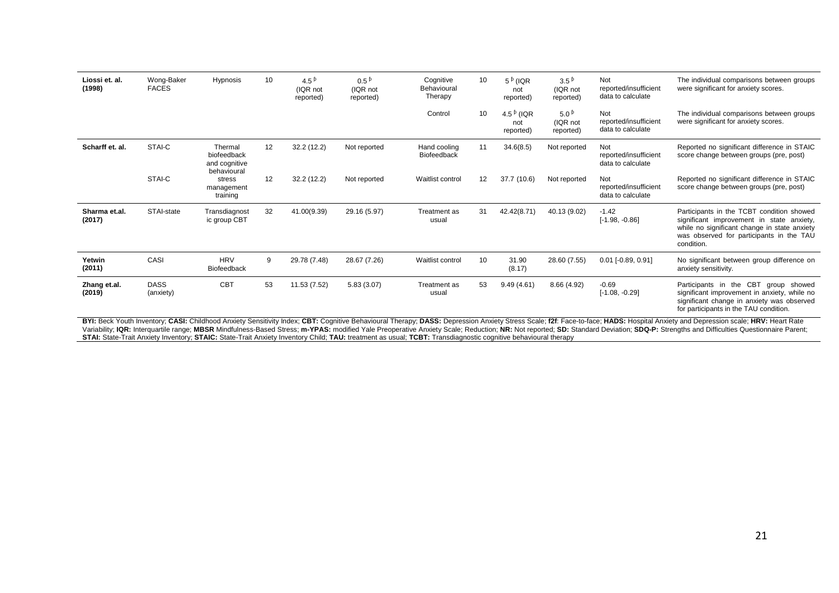| Liossi et. al.<br>(1998) | Wong-Baker<br><b>FACES</b> | Hypnosis                                               | 10 | 4.5 $^{6}$<br>(IQR not<br>reported) | $0.5^{p}$<br>(IQR not<br>reported) | Cognitive<br>Behavioural<br>Therapy | 10                | $5^{\,6}$ (IQR<br>not<br>reported)  | 3.5 <sup>b</sup><br>(IQR not<br>reported) | Not<br>reported/insufficient<br>data to calculate | The individual comparisons between groups<br>were significant for anxiety scores.                                                                                                                |
|--------------------------|----------------------------|--------------------------------------------------------|----|-------------------------------------|------------------------------------|-------------------------------------|-------------------|-------------------------------------|-------------------------------------------|---------------------------------------------------|--------------------------------------------------------------------------------------------------------------------------------------------------------------------------------------------------|
|                          |                            |                                                        |    |                                     |                                    | Control                             | 10                | 4.5 $^{6}$ (IQR<br>not<br>reported) | 5.0 <sup>b</sup><br>(IQR not<br>reported) | Not<br>reported/insufficient<br>data to calculate | The individual comparisons between groups<br>were significant for anxiety scores.                                                                                                                |
| Scharff et. al.          | STAI-C                     | Thermal<br>biofeedback<br>and cognitive<br>behavioural | 12 | 32.2(12.2)                          | Not reported                       | Hand cooling<br><b>Biofeedback</b>  | 11                | 34.6(8.5)                           | Not reported                              | Not<br>reported/insufficient<br>data to calculate | Reported no significant difference in STAIC<br>score change between groups (pre, post)                                                                                                           |
|                          | STAI-C                     | stress<br>management<br>training                       | 12 | 32.2 (12.2)                         | Not reported                       | Waitlist control                    | $12 \overline{ }$ | 37.7 (10.6)                         | Not reported                              | Not<br>reported/insufficient<br>data to calculate | Reported no significant difference in STAIC<br>score change between groups (pre, post)                                                                                                           |
| Sharma et.al.<br>(2017)  | STAI-state                 | Transdiagnost<br>ic group CBT                          | 32 | 41.00(9.39)                         | 29.16 (5.97)                       | Treatment as<br>usual               | 31                | 42.42(8.71)                         | 40.13 (9.02)                              | $-1.42$<br>$[-1.98, -0.86]$                       | Participants in the TCBT condition showed<br>significant improvement in state anxiety,<br>while no significant change in state anxiety<br>was observed for participants in the TAU<br>condition. |
| Yetwin<br>(2011)         | CASI                       | <b>HRV</b><br>Biofeedback                              | 9  | 29.78 (7.48)                        | 28.67 (7.26)                       | Waitlist control                    | 10                | 31.90<br>(8.17)                     | 28.60 (7.55)                              | $0.01$ [-0.89, 0.91]                              | No significant between group difference on<br>anxiety sensitivity.                                                                                                                               |
| Zhang et.al.<br>(2019)   | <b>DASS</b><br>(anxiety)   | <b>CBT</b>                                             | 53 | 11.53 (7.52)                        | 5.83(3.07)                         | Treatment as<br>usual               | 53                | 9.49(4.61)                          | 8.66(4.92)                                | $-0.69$<br>$[-1.08, -0.29]$                       | Participants in the CBT group showed<br>significant improvement in anxiety, while no<br>significant change in anxiety was observed<br>for participants in the TAU condition.                     |

BYI: Beck Youth Inventory; CASI: Childhood Anxiety Sensitivity Index; CBT: Cognitive Behavioural Therapy; DASS: Depression Anxiety Stress Scale; f2f: Face-to-face; HADS: Hospital Anxiety and Depression scale; HRV: Heart Ra Variability; IQR: Interquartile range; MBSR Mindfulness-Based Stress; m-YPAS: modified Yale Preoperative Anxiety Scale; Reduction; NR: Not reported; SD: Standard Deviation; SDQ-P: Strengths and Difficulties Questionnaire P **STAI:** State-Trait Anxiety Inventory; **STAIC:** State-Trait Anxiety Inventory Child; **TAU:** treatment as usual; **TCBT:** Transdiagnostic cognitive behavioural therapy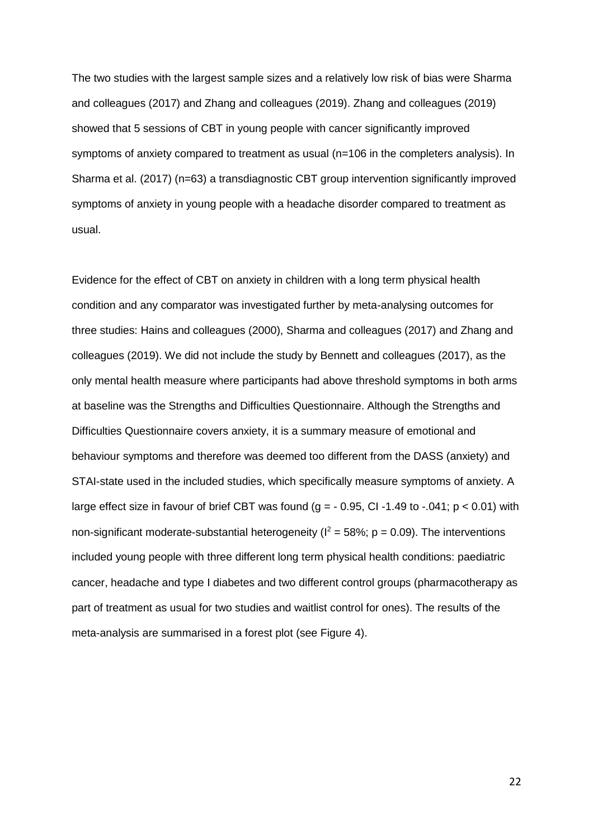The two studies with the largest sample sizes and a relatively low risk of bias were Sharma and colleagues (2017) and Zhang and colleagues (2019). Zhang and colleagues (2019) showed that 5 sessions of CBT in young people with cancer significantly improved symptoms of anxiety compared to treatment as usual (n=106 in the completers analysis). In Sharma et al. (2017) (n=63) a transdiagnostic CBT group intervention significantly improved symptoms of anxiety in young people with a headache disorder compared to treatment as usual.

Evidence for the effect of CBT on anxiety in children with a long term physical health condition and any comparator was investigated further by meta-analysing outcomes for three studies: Hains and colleagues (2000), Sharma and colleagues (2017) and Zhang and colleagues (2019). We did not include the study by Bennett and colleagues (2017), as the only mental health measure where participants had above threshold symptoms in both arms at baseline was the Strengths and Difficulties Questionnaire. Although the Strengths and Difficulties Questionnaire covers anxiety, it is a summary measure of emotional and behaviour symptoms and therefore was deemed too different from the DASS (anxiety) and STAI-state used in the included studies, which specifically measure symptoms of anxiety. A large effect size in favour of brief CBT was found ( $g = -0.95$ , CI-1.49 to -.041;  $p < 0.01$ ) with non-significant moderate-substantial heterogeneity ( $I^2 = 58\%$ ; p = 0.09). The interventions included young people with three different long term physical health conditions: paediatric cancer, headache and type I diabetes and two different control groups (pharmacotherapy as part of treatment as usual for two studies and waitlist control for ones). The results of the meta-analysis are summarised in a forest plot (see Figure 4).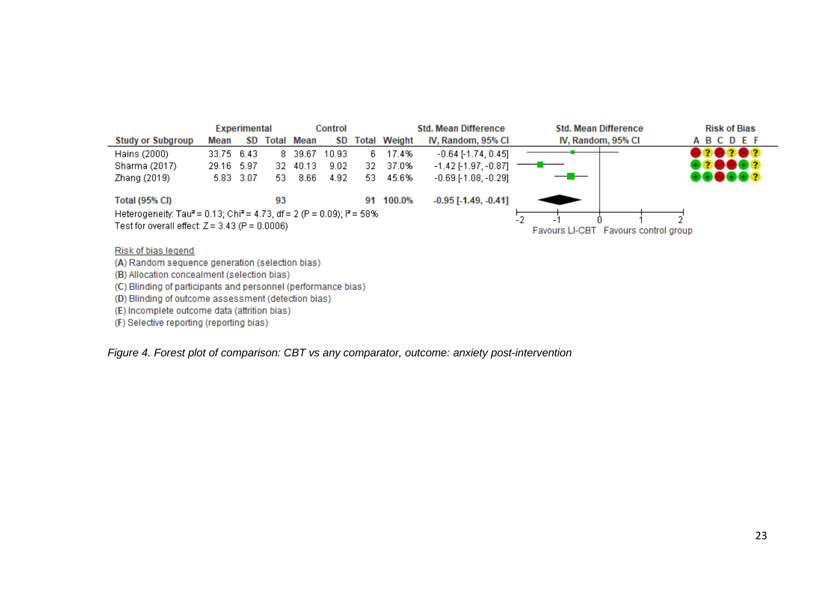

Risk of bias legend

(A) Random sequence generation (selection bias)

(B) Allocation concealment (selection bias)

(C) Blinding of participants and personnel (performance bias)

(D) Blinding of outcome assessment (detection bias)

(E) Incomplete outcome data (attrition bias)

(F) Selective reporting (reporting bias)

*Figure 4. Forest plot of comparison: CBT vs any comparator, outcome: anxiety post-intervention*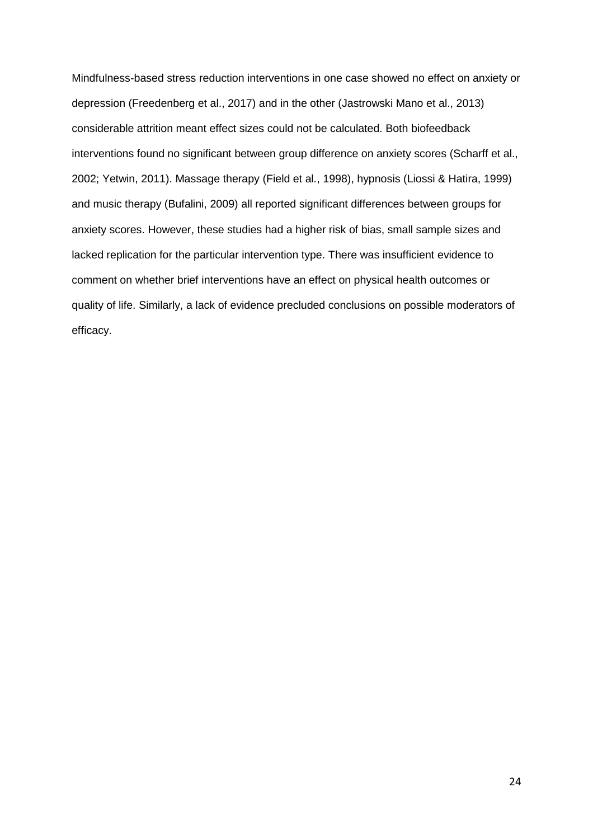Mindfulness-based stress reduction interventions in one case showed no effect on anxiety or depression (Freedenberg et al., 2017) and in the other (Jastrowski Mano et al., 2013) considerable attrition meant effect sizes could not be calculated. Both biofeedback interventions found no significant between group difference on anxiety scores (Scharff et al., 2002; Yetwin, 2011). Massage therapy (Field et al., 1998), hypnosis (Liossi & Hatira, 1999) and music therapy (Bufalini, 2009) all reported significant differences between groups for anxiety scores. However, these studies had a higher risk of bias, small sample sizes and lacked replication for the particular intervention type. There was insufficient evidence to comment on whether brief interventions have an effect on physical health outcomes or quality of life. Similarly, a lack of evidence precluded conclusions on possible moderators of efficacy.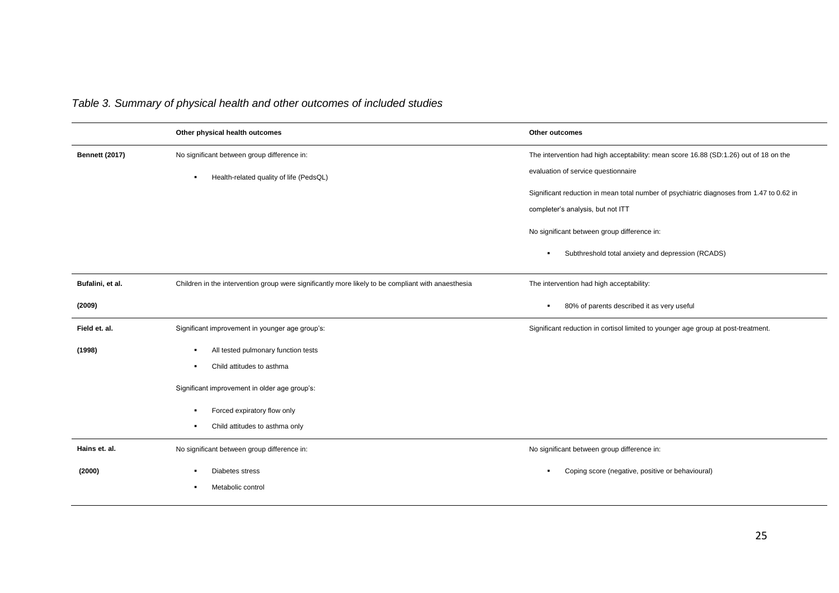|                       | Other physical health outcomes                                                                                                                                          | Other outcomes                                                                                                                |
|-----------------------|-------------------------------------------------------------------------------------------------------------------------------------------------------------------------|-------------------------------------------------------------------------------------------------------------------------------|
| <b>Bennett (2017)</b> | No significant between group difference in:<br>Health-related quality of life (PedsQL)<br>٠.                                                                            | The intervention had high acceptability: mean score 16.88 (SD:1.26) out of 18 on the<br>evaluation of service questionnaire   |
|                       |                                                                                                                                                                         | Significant reduction in mean total number of psychiatric diagnoses from 1.47 to 0.62 in<br>completer's analysis, but not ITT |
|                       |                                                                                                                                                                         | No significant between group difference in:                                                                                   |
|                       |                                                                                                                                                                         | Subthreshold total anxiety and depression (RCADS)<br>٠                                                                        |
| Bufalini, et al.      | Children in the intervention group were significantly more likely to be compliant with anaesthesia                                                                      | The intervention had high acceptability:                                                                                      |
| (2009)                |                                                                                                                                                                         | 80% of parents described it as very useful<br>$\blacksquare$                                                                  |
| Field et. al.         | Significant improvement in younger age group's:                                                                                                                         | Significant reduction in cortisol limited to younger age group at post-treatment.                                             |
| (1998)                | All tested pulmonary function tests<br>$\blacksquare$<br>Child attitudes to asthma<br>Significant improvement in older age group's:<br>Forced expiratory flow only<br>٠ |                                                                                                                               |
|                       | Child attitudes to asthma only                                                                                                                                          |                                                                                                                               |
| Hains et. al.         | No significant between group difference in:                                                                                                                             | No significant between group difference in:                                                                                   |
| (2000)                | Diabetes stress<br>Metabolic control<br>٠                                                                                                                               | Coping score (negative, positive or behavioural)<br>٠                                                                         |

# *Table 3. Summary of physical health and other outcomes of included studies*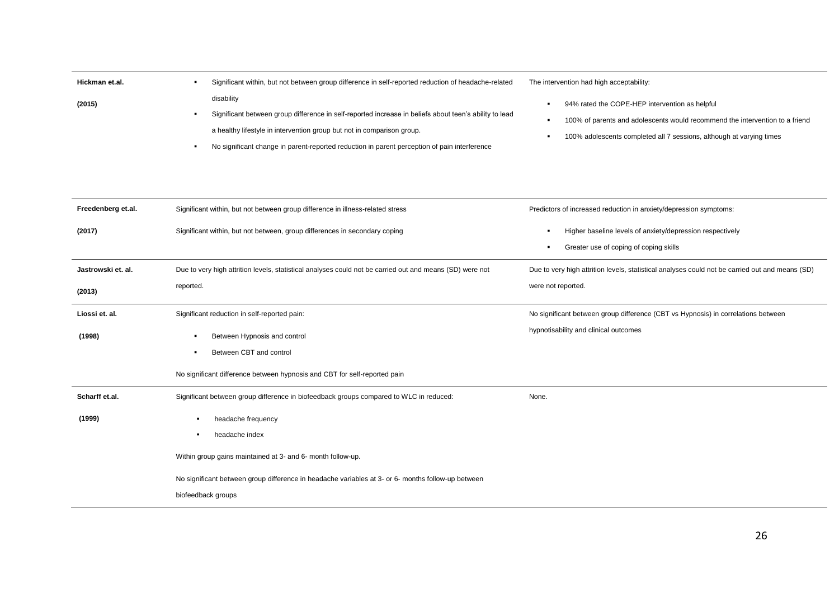| Hickman et.al. | Significant within, but not between group difference in self-reported reduction of headache-related                  | The intervention had high acceptability:                                                                                                             |
|----------------|----------------------------------------------------------------------------------------------------------------------|------------------------------------------------------------------------------------------------------------------------------------------------------|
| (2015)         | disability<br>Significant between group difference in self-reported increase in beliefs about teen's ability to lead | 94% rated the COPE-HEP intervention as helpful                                                                                                       |
|                | a healthy lifestyle in intervention group but not in comparison group.                                               | 100% of parents and adolescents would recommend the intervention to a friend<br>100% adolescents completed all 7 sessions, although at varying times |
|                | No significant change in parent-reported reduction in parent perception of pain interference                         |                                                                                                                                                      |

| Freedenberg et.al. | Significant within, but not between group difference in illness-related stress                           | Predictors of increased reduction in anxiety/depression symptoms:                                   |
|--------------------|----------------------------------------------------------------------------------------------------------|-----------------------------------------------------------------------------------------------------|
| (2017)             | Significant within, but not between, group differences in secondary coping                               | Higher baseline levels of anxiety/depression respectively<br>Greater use of coping of coping skills |
| Jastrowski et. al. | Due to very high attrition levels, statistical analyses could not be carried out and means (SD) were not | Due to very high attrition levels, statistical analyses could not be carried out and means (SD)     |
| (2013)             | reported.                                                                                                | were not reported.                                                                                  |
| Liossi et. al.     | Significant reduction in self-reported pain:                                                             | No significant between group difference (CBT vs Hypnosis) in correlations between                   |
| (1998)             | Between Hypnosis and control<br>$\blacksquare$                                                           | hypnotisability and clinical outcomes                                                               |
|                    | Between CBT and control<br>٠                                                                             |                                                                                                     |
|                    | No significant difference between hypnosis and CBT for self-reported pain                                |                                                                                                     |
| Scharff et.al.     | Significant between group difference in biofeedback groups compared to WLC in reduced:                   | None.                                                                                               |
| (1999)             | headache frequency<br>л.                                                                                 |                                                                                                     |
|                    | headache index<br>٠                                                                                      |                                                                                                     |
|                    | Within group gains maintained at 3- and 6- month follow-up.                                              |                                                                                                     |
|                    | No significant between group difference in headache variables at 3- or 6- months follow-up between       |                                                                                                     |
|                    | biofeedback groups                                                                                       |                                                                                                     |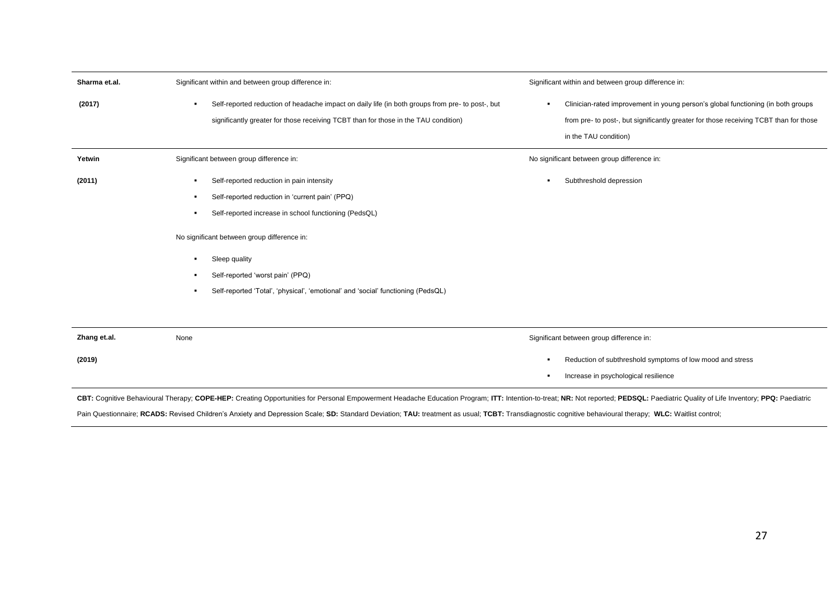| Sharma et.al. | Significant within and between group difference in:                                                                                                                                                                                                                                                                                                     | Significant within and between group difference in:                                                                                                                                                |
|---------------|---------------------------------------------------------------------------------------------------------------------------------------------------------------------------------------------------------------------------------------------------------------------------------------------------------------------------------------------------------|----------------------------------------------------------------------------------------------------------------------------------------------------------------------------------------------------|
| (2017)        | Self-reported reduction of headache impact on daily life (in both groups from pre- to post-, but<br>significantly greater for those receiving TCBT than for those in the TAU condition)                                                                                                                                                                 | Clinician-rated improvement in young person's global functioning (in both groups<br>from pre- to post-, but significantly greater for those receiving TCBT than for those<br>in the TAU condition) |
| Yetwin        | Significant between group difference in:                                                                                                                                                                                                                                                                                                                | No significant between group difference in:                                                                                                                                                        |
| (2011)        | Self-reported reduction in pain intensity<br>٠<br>Self-reported reduction in 'current pain' (PPQ)<br>Self-reported increase in school functioning (PedsQL)<br>٠<br>No significant between group difference in:<br>Sleep quality<br>Self-reported 'worst pain' (PPQ)<br>Self-reported 'Total', 'physical', 'emotional' and 'social' functioning (PedsQL) | Subthreshold depression                                                                                                                                                                            |
| Zhang et.al.  | None                                                                                                                                                                                                                                                                                                                                                    | Significant between group difference in:                                                                                                                                                           |
| (2019)        |                                                                                                                                                                                                                                                                                                                                                         | Reduction of subthreshold symptoms of low mood and stress<br>Increase in psychological resilience                                                                                                  |

CBT: Cognitive Behavioural Therapy; COPE-HEP: Creating Opportunities for Personal Empowerment Headache Education Program; ITT: Intention-to-treat; NR: Not reported; PEDSQL: Paediatric Quality of Life Inventory; PPQ: Paedia

Pain Questionnaire; RCADS: Revised Children's Anxiety and Depression Scale; SD: Standard Deviation; TAU: treatment as usual; TCBT: Transdiagnostic cognitive behavioural therapy; WLC: Waitlist control;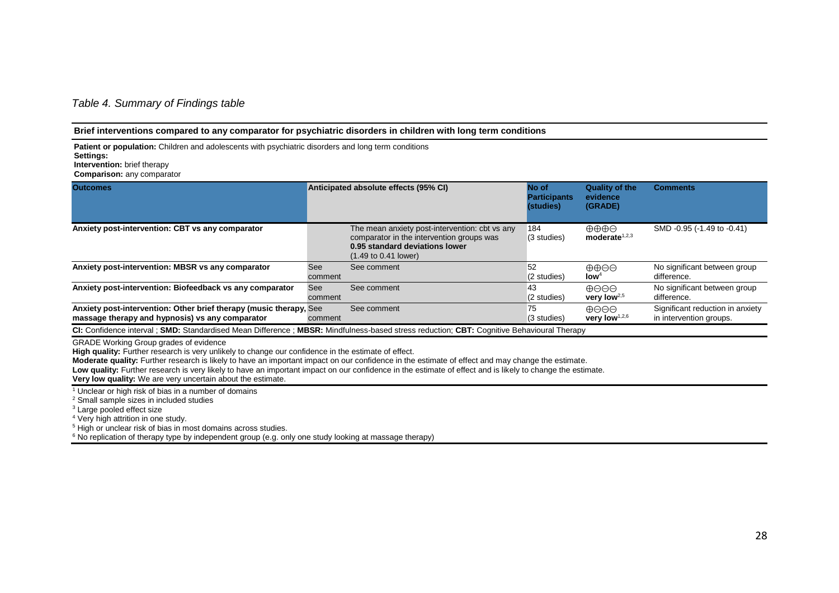## *Table 4. Summary of Findings table*

#### **Brief interventions compared to any comparator for psychiatric disorders in children with long term conditions**

**Patient or population:** Children and adolescents with psychiatric disorders and long term conditions

**Intervention:** brief therapy

**Comparison:** any comparator

| <b>Outcomes</b>                                                                                                       |                | Anticipated absolute effects (95% CI)                                                                                                                                    | No of<br><b>Participants</b><br>(studies) | <b>Quality of the</b><br>evidence<br>(GRADE)        | <b>Comments</b>                                             |
|-----------------------------------------------------------------------------------------------------------------------|----------------|--------------------------------------------------------------------------------------------------------------------------------------------------------------------------|-------------------------------------------|-----------------------------------------------------|-------------------------------------------------------------|
| Anxiety post-intervention: CBT vs any comparator                                                                      |                | The mean anxiety post-intervention: cbt vs any<br>comparator in the intervention groups was<br>0.95 standard deviations lower<br>$(1.49 \text{ to } 0.41 \text{ lower})$ | 184<br>(3 studies)                        | $\oplus \oplus \oplus \ominus$<br>moderate $1,2,3$  | SMD -0.95 (-1.49 to -0.41)                                  |
| Anxiety post-intervention: MBSR vs any comparator                                                                     | See<br>comment | See comment                                                                                                                                                              | 52<br>$(2 \times$                         | $\oplus \oplus \ominus \ominus$<br>low <sup>4</sup> | No significant between group<br>difference.                 |
| Anxiety post-intervention: Biofeedback vs any comparator                                                              | See<br>comment | See comment                                                                                                                                                              | 43<br>$(2 \times$                         | $\oplus$ AAA<br>very low $^{2,5}$                   | No significant between group<br>difference.                 |
| Anxiety post-intervention: Other brief therapy (music therapy, See<br>massage therapy and hypnosis) vs any comparator | comment        | See comment                                                                                                                                                              | 75<br>(3 studies)                         | $\oplus$ AAA<br>very low <sup>1,2,6</sup>           | Significant reduction in anxiety<br>in intervention groups. |

**CI:** Confidence interval ; **SMD:** Standardised Mean Difference ; **MBSR:** Mindfulness-based stress reduction; **CBT:** Cognitive Behavioural Therapy

GRADE Working Group grades of evidence

**High quality:** Further research is very unlikely to change our confidence in the estimate of effect.

**Moderate quality:** Further research is likely to have an important impact on our confidence in the estimate of effect and may change the estimate.

Low quality: Further research is very likely to have an important impact on our confidence in the estimate of effect and is likely to change the estimate.

**Very low quality:** We are very uncertain about the estimate.

<sup>1</sup> Unclear or high risk of bias in a number of domains

<sup>2</sup> Small sample sizes in included studies

<sup>3</sup> Large pooled effect size

<sup>4</sup> Very high attrition in one study.

<sup>5</sup> High or unclear risk of bias in most domains across studies.

<sup>6</sup> No replication of therapy type by independent group (e.g. only one study looking at massage therapy)

**Settings:**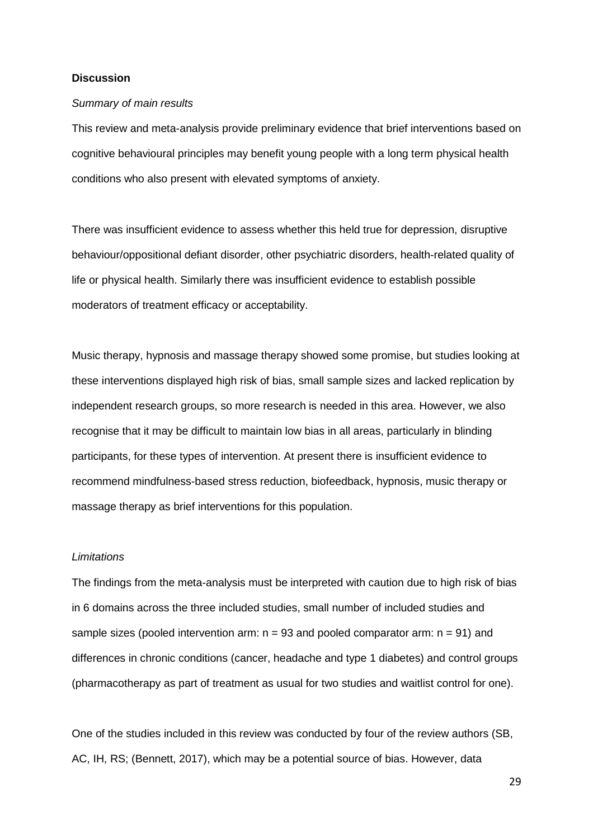#### **Discussion**

#### *Summary of main results*

This review and meta-analysis provide preliminary evidence that brief interventions based on cognitive behavioural principles may benefit young people with a long term physical health conditions who also present with elevated symptoms of anxiety.

There was insufficient evidence to assess whether this held true for depression, disruptive behaviour/oppositional defiant disorder, other psychiatric disorders, health-related quality of life or physical health. Similarly there was insufficient evidence to establish possible moderators of treatment efficacy or acceptability.

Music therapy, hypnosis and massage therapy showed some promise, but studies looking at these interventions displayed high risk of bias, small sample sizes and lacked replication by independent research groups, so more research is needed in this area. However, we also recognise that it may be difficult to maintain low bias in all areas, particularly in blinding participants, for these types of intervention. At present there is insufficient evidence to recommend mindfulness-based stress reduction, biofeedback, hypnosis, music therapy or massage therapy as brief interventions for this population.

#### *Limitations*

The findings from the meta-analysis must be interpreted with caution due to high risk of bias in 6 domains across the three included studies, small number of included studies and sample sizes (pooled intervention arm:  $n = 93$  and pooled comparator arm:  $n = 91$ ) and differences in chronic conditions (cancer, headache and type 1 diabetes) and control groups (pharmacotherapy as part of treatment as usual for two studies and waitlist control for one).

One of the studies included in this review was conducted by four of the review authors (SB, AC, IH, RS; (Bennett, 2017), which may be a potential source of bias. However, data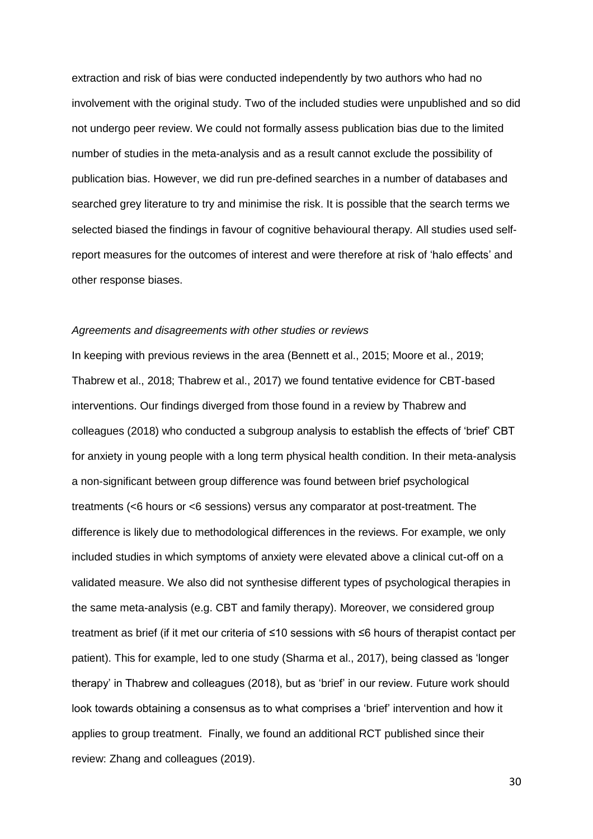extraction and risk of bias were conducted independently by two authors who had no involvement with the original study. Two of the included studies were unpublished and so did not undergo peer review. We could not formally assess publication bias due to the limited number of studies in the meta-analysis and as a result cannot exclude the possibility of publication bias. However, we did run pre-defined searches in a number of databases and searched grey literature to try and minimise the risk. It is possible that the search terms we selected biased the findings in favour of cognitive behavioural therapy*.* All studies used selfreport measures for the outcomes of interest and were therefore at risk of 'halo effects' and other response biases.

#### *Agreements and disagreements with other studies or reviews*

In keeping with previous reviews in the area (Bennett et al., 2015; Moore et al., 2019; Thabrew et al., 2018; Thabrew et al., 2017) we found tentative evidence for CBT-based interventions. Our findings diverged from those found in a review by Thabrew and colleagues (2018) who conducted a subgroup analysis to establish the effects of 'brief' CBT for anxiety in young people with a long term physical health condition. In their meta-analysis a non-significant between group difference was found between brief psychological treatments (<6 hours or <6 sessions) versus any comparator at post-treatment. The difference is likely due to methodological differences in the reviews. For example, we only included studies in which symptoms of anxiety were elevated above a clinical cut-off on a validated measure. We also did not synthesise different types of psychological therapies in the same meta-analysis (e.g. CBT and family therapy). Moreover, we considered group treatment as brief (if it met our criteria of ≤10 sessions with ≤6 hours of therapist contact per patient). This for example, led to one study (Sharma et al., 2017), being classed as 'longer therapy' in Thabrew and colleagues (2018), but as 'brief' in our review. Future work should look towards obtaining a consensus as to what comprises a 'brief' intervention and how it applies to group treatment. Finally, we found an additional RCT published since their review: Zhang and colleagues (2019).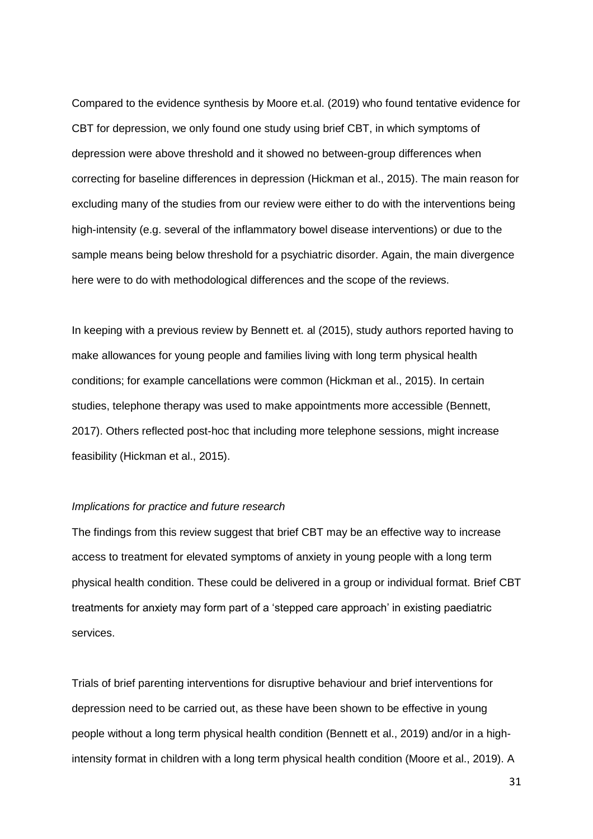Compared to the evidence synthesis by Moore et.al. (2019) who found tentative evidence for CBT for depression, we only found one study using brief CBT, in which symptoms of depression were above threshold and it showed no between-group differences when correcting for baseline differences in depression (Hickman et al., 2015). The main reason for excluding many of the studies from our review were either to do with the interventions being high-intensity (e.g. several of the inflammatory bowel disease interventions) or due to the sample means being below threshold for a psychiatric disorder. Again, the main divergence here were to do with methodological differences and the scope of the reviews.

In keeping with a previous review by Bennett et. al (2015), study authors reported having to make allowances for young people and families living with long term physical health conditions; for example cancellations were common (Hickman et al., 2015). In certain studies, telephone therapy was used to make appointments more accessible (Bennett, 2017). Others reflected post-hoc that including more telephone sessions, might increase feasibility (Hickman et al., 2015).

#### *Implications for practice and future research*

The findings from this review suggest that brief CBT may be an effective way to increase access to treatment for elevated symptoms of anxiety in young people with a long term physical health condition. These could be delivered in a group or individual format. Brief CBT treatments for anxiety may form part of a 'stepped care approach' in existing paediatric services.

Trials of brief parenting interventions for disruptive behaviour and brief interventions for depression need to be carried out, as these have been shown to be effective in young people without a long term physical health condition (Bennett et al., 2019) and/or in a highintensity format in children with a long term physical health condition (Moore et al., 2019). A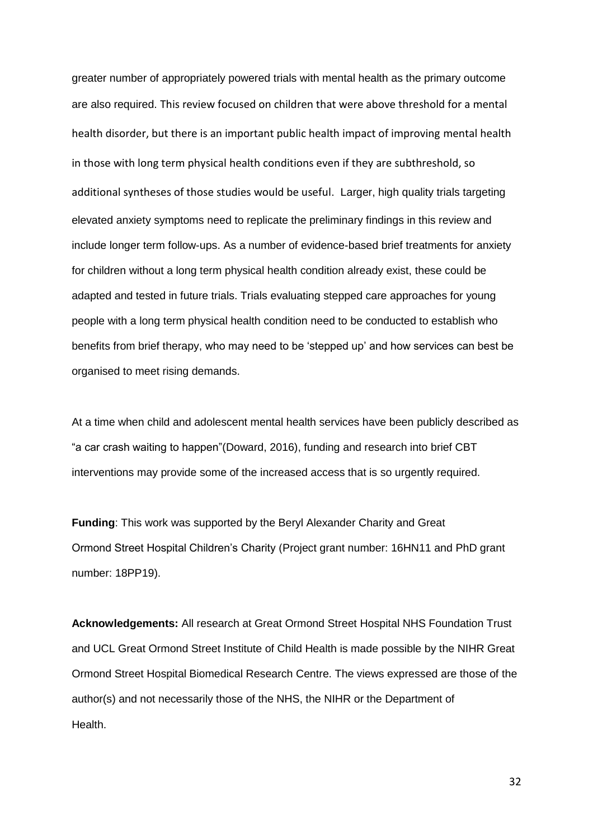greater number of appropriately powered trials with mental health as the primary outcome are also required. This review focused on children that were above threshold for a mental health disorder, but there is an important public health impact of improving mental health in those with long term physical health conditions even if they are subthreshold, so additional syntheses of those studies would be useful. Larger, high quality trials targeting elevated anxiety symptoms need to replicate the preliminary findings in this review and include longer term follow-ups. As a number of evidence-based brief treatments for anxiety for children without a long term physical health condition already exist, these could be adapted and tested in future trials. Trials evaluating stepped care approaches for young people with a long term physical health condition need to be conducted to establish who benefits from brief therapy, who may need to be 'stepped up' and how services can best be organised to meet rising demands.

At a time when child and adolescent mental health services have been publicly described as "a car crash waiting to happen"(Doward, 2016), funding and research into brief CBT interventions may provide some of the increased access that is so urgently required.

**Funding**: This work was supported by the Beryl Alexander Charity and Great Ormond Street Hospital Children's Charity (Project grant number: 16HN11 and PhD grant number: 18PP19).

**Acknowledgements:** All research at Great Ormond Street Hospital NHS Foundation Trust and UCL Great Ormond Street Institute of Child Health is made possible by the NIHR Great Ormond Street Hospital Biomedical Research Centre. The views expressed are those of the author(s) and not necessarily those of the NHS, the NIHR or the Department of Health.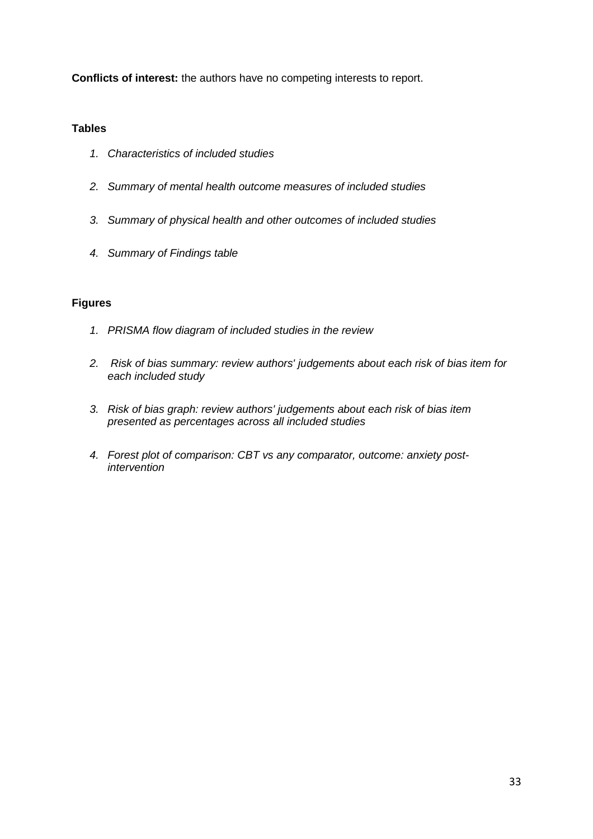**Conflicts of interest:** the authors have no competing interests to report.

## **Tables**

- *1. Characteristics of included studies*
- *2. Summary of mental health outcome measures of included studies*
- *3. Summary of physical health and other outcomes of included studies*
- *4. Summary of Findings table*

## **Figures**

- *1. PRISMA flow diagram of included studies in the review*
- *2. Risk of bias summary: review authors' judgements about each risk of bias item for each included study*
- *3. Risk of bias graph: review authors' judgements about each risk of bias item presented as percentages across all included studies*
- *4. Forest plot of comparison: CBT vs any comparator, outcome: anxiety postintervention*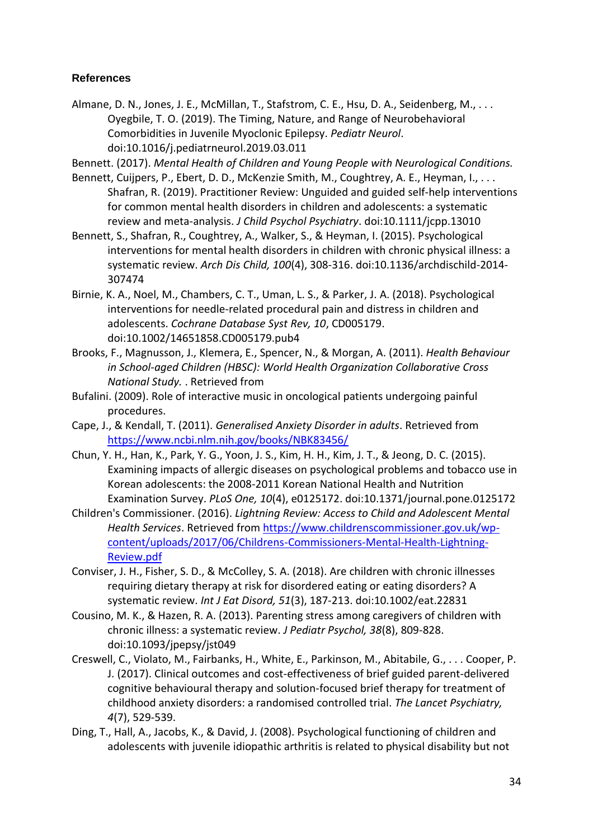## **References**

- Almane, D. N., Jones, J. E., McMillan, T., Stafstrom, C. E., Hsu, D. A., Seidenberg, M., ... Oyegbile, T. O. (2019). The Timing, Nature, and Range of Neurobehavioral Comorbidities in Juvenile Myoclonic Epilepsy. *Pediatr Neurol*. doi:10.1016/j.pediatrneurol.2019.03.011
- Bennett. (2017). *Mental Health of Children and Young People with Neurological Conditions.*
- Bennett, Cuijpers, P., Ebert, D. D., McKenzie Smith, M., Coughtrey, A. E., Heyman, I., ... Shafran, R. (2019). Practitioner Review: Unguided and guided self-help interventions for common mental health disorders in children and adolescents: a systematic review and meta-analysis. *J Child Psychol Psychiatry*. doi:10.1111/jcpp.13010
- Bennett, S., Shafran, R., Coughtrey, A., Walker, S., & Heyman, I. (2015). Psychological interventions for mental health disorders in children with chronic physical illness: a systematic review. *Arch Dis Child, 100*(4), 308-316. doi:10.1136/archdischild-2014- 307474
- Birnie, K. A., Noel, M., Chambers, C. T., Uman, L. S., & Parker, J. A. (2018). Psychological interventions for needle-related procedural pain and distress in children and adolescents. *Cochrane Database Syst Rev, 10*, CD005179. doi:10.1002/14651858.CD005179.pub4
- Brooks, F., Magnusson, J., Klemera, E., Spencer, N., & Morgan, A. (2011). *Health Behaviour in School-aged Children (HBSC): World Health Organization Collaborative Cross National Study.* . Retrieved from
- Bufalini. (2009). Role of interactive music in oncological patients undergoing painful procedures.
- Cape, J., & Kendall, T. (2011). *Generalised Anxiety Disorder in adults*. Retrieved from <https://www.ncbi.nlm.nih.gov/books/NBK83456/>
- Chun, Y. H., Han, K., Park, Y. G., Yoon, J. S., Kim, H. H., Kim, J. T., & Jeong, D. C. (2015). Examining impacts of allergic diseases on psychological problems and tobacco use in Korean adolescents: the 2008-2011 Korean National Health and Nutrition Examination Survey. *PLoS One, 10*(4), e0125172. doi:10.1371/journal.pone.0125172
- Children's Commissioner. (2016). *Lightning Review: Access to Child and Adolescent Mental Health Services*. Retrieved from [https://www.childrenscommissioner.gov.uk/wp](https://www.childrenscommissioner.gov.uk/wp-content/uploads/2017/06/Childrens-Commissioners-Mental-Health-Lightning-Review.pdf)[content/uploads/2017/06/Childrens-Commissioners-Mental-Health-Lightning-](https://www.childrenscommissioner.gov.uk/wp-content/uploads/2017/06/Childrens-Commissioners-Mental-Health-Lightning-Review.pdf)[Review.pdf](https://www.childrenscommissioner.gov.uk/wp-content/uploads/2017/06/Childrens-Commissioners-Mental-Health-Lightning-Review.pdf)
- Conviser, J. H., Fisher, S. D., & McColley, S. A. (2018). Are children with chronic illnesses requiring dietary therapy at risk for disordered eating or eating disorders? A systematic review. *Int J Eat Disord, 51*(3), 187-213. doi:10.1002/eat.22831
- Cousino, M. K., & Hazen, R. A. (2013). Parenting stress among caregivers of children with chronic illness: a systematic review. *J Pediatr Psychol, 38*(8), 809-828. doi:10.1093/jpepsy/jst049
- Creswell, C., Violato, M., Fairbanks, H., White, E., Parkinson, M., Abitabile, G., . . . Cooper, P. J. (2017). Clinical outcomes and cost-effectiveness of brief guided parent-delivered cognitive behavioural therapy and solution-focused brief therapy for treatment of childhood anxiety disorders: a randomised controlled trial. *The Lancet Psychiatry, 4*(7), 529-539.
- Ding, T., Hall, A., Jacobs, K., & David, J. (2008). Psychological functioning of children and adolescents with juvenile idiopathic arthritis is related to physical disability but not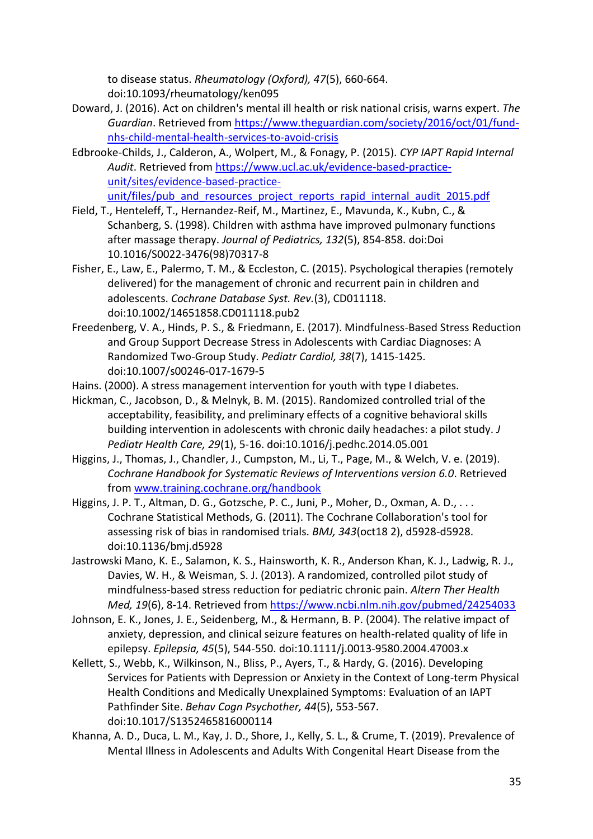to disease status. *Rheumatology (Oxford), 47*(5), 660-664. doi:10.1093/rheumatology/ken095

- Doward, J. (2016). Act on children's mental ill health or risk national crisis, warns expert. *The Guardian*. Retrieved from [https://www.theguardian.com/society/2016/oct/01/fund](https://www.theguardian.com/society/2016/oct/01/fund-nhs-child-mental-health-services-to-avoid-crisis)[nhs-child-mental-health-services-to-avoid-crisis](https://www.theguardian.com/society/2016/oct/01/fund-nhs-child-mental-health-services-to-avoid-crisis)
- Edbrooke-Childs, J., Calderon, A., Wolpert, M., & Fonagy, P. (2015). *CYP IAPT Rapid Internal Audit*. Retrieved from [https://www.ucl.ac.uk/evidence-based-practice](https://www.ucl.ac.uk/evidence-based-practice-unit/sites/evidence-based-practice-unit/files/pub_and_resources_project_reports_rapid_internal_audit_2015.pdf)[unit/sites/evidence-based-practice](https://www.ucl.ac.uk/evidence-based-practice-unit/sites/evidence-based-practice-unit/files/pub_and_resources_project_reports_rapid_internal_audit_2015.pdf)[unit/files/pub\\_and\\_resources\\_project\\_reports\\_rapid\\_internal\\_audit\\_2015.pdf](https://www.ucl.ac.uk/evidence-based-practice-unit/sites/evidence-based-practice-unit/files/pub_and_resources_project_reports_rapid_internal_audit_2015.pdf)
- Field, T., Henteleff, T., Hernandez-Reif, M., Martinez, E., Mavunda, K., Kubn, C., & Schanberg, S. (1998). Children with asthma have improved pulmonary functions after massage therapy. *Journal of Pediatrics, 132*(5), 854-858. doi:Doi 10.1016/S0022-3476(98)70317-8
- Fisher, E., Law, E., Palermo, T. M., & Eccleston, C. (2015). Psychological therapies (remotely delivered) for the management of chronic and recurrent pain in children and adolescents. *Cochrane Database Syst. Rev.*(3), CD011118. doi:10.1002/14651858.CD011118.pub2
- Freedenberg, V. A., Hinds, P. S., & Friedmann, E. (2017). Mindfulness-Based Stress Reduction and Group Support Decrease Stress in Adolescents with Cardiac Diagnoses: A Randomized Two-Group Study. *Pediatr Cardiol, 38*(7), 1415-1425. doi:10.1007/s00246-017-1679-5
- Hains. (2000). A stress management intervention for youth with type I diabetes.
- Hickman, C., Jacobson, D., & Melnyk, B. M. (2015). Randomized controlled trial of the acceptability, feasibility, and preliminary effects of a cognitive behavioral skills building intervention in adolescents with chronic daily headaches: a pilot study. *J Pediatr Health Care, 29*(1), 5-16. doi:10.1016/j.pedhc.2014.05.001
- Higgins, J., Thomas, J., Chandler, J., Cumpston, M., Li, T., Page, M., & Welch, V. e. (2019). *Cochrane Handbook for Systematic Reviews of Interventions version 6.0*. Retrieved from [www.training.cochrane.org/handbook](file:///C:/Users/ucyldaa/AppData/Local/Microsoft/Windows/INetCache/Content.Outlook/OZTDI3PL/www.training.cochrane.org/handbook)
- Higgins, J. P. T., Altman, D. G., Gotzsche, P. C., Juni, P., Moher, D., Oxman, A. D., . . . Cochrane Statistical Methods, G. (2011). The Cochrane Collaboration's tool for assessing risk of bias in randomised trials. *BMJ, 343*(oct18 2), d5928-d5928. doi:10.1136/bmj.d5928
- Jastrowski Mano, K. E., Salamon, K. S., Hainsworth, K. R., Anderson Khan, K. J., Ladwig, R. J., Davies, W. H., & Weisman, S. J. (2013). A randomized, controlled pilot study of mindfulness-based stress reduction for pediatric chronic pain. *Altern Ther Health Med, 19*(6), 8-14. Retrieved from<https://www.ncbi.nlm.nih.gov/pubmed/24254033>
- Johnson, E. K., Jones, J. E., Seidenberg, M., & Hermann, B. P. (2004). The relative impact of anxiety, depression, and clinical seizure features on health-related quality of life in epilepsy. *Epilepsia, 45*(5), 544-550. doi:10.1111/j.0013-9580.2004.47003.x
- Kellett, S., Webb, K., Wilkinson, N., Bliss, P., Ayers, T., & Hardy, G. (2016). Developing Services for Patients with Depression or Anxiety in the Context of Long-term Physical Health Conditions and Medically Unexplained Symptoms: Evaluation of an IAPT Pathfinder Site. *Behav Cogn Psychother, 44*(5), 553-567. doi:10.1017/S1352465816000114
- Khanna, A. D., Duca, L. M., Kay, J. D., Shore, J., Kelly, S. L., & Crume, T. (2019). Prevalence of Mental Illness in Adolescents and Adults With Congenital Heart Disease from the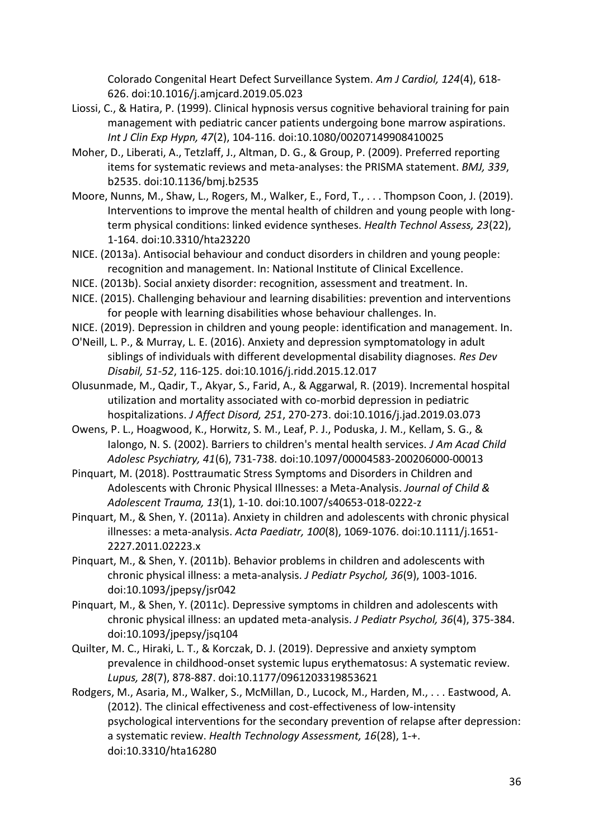Colorado Congenital Heart Defect Surveillance System. *Am J Cardiol, 124*(4), 618- 626. doi:10.1016/j.amjcard.2019.05.023

- Liossi, C., & Hatira, P. (1999). Clinical hypnosis versus cognitive behavioral training for pain management with pediatric cancer patients undergoing bone marrow aspirations. *Int J Clin Exp Hypn, 47*(2), 104-116. doi:10.1080/00207149908410025
- Moher, D., Liberati, A., Tetzlaff, J., Altman, D. G., & Group, P. (2009). Preferred reporting items for systematic reviews and meta-analyses: the PRISMA statement. *BMJ, 339*, b2535. doi:10.1136/bmj.b2535
- Moore, Nunns, M., Shaw, L., Rogers, M., Walker, E., Ford, T., . . . Thompson Coon, J. (2019). Interventions to improve the mental health of children and young people with longterm physical conditions: linked evidence syntheses. *Health Technol Assess, 23*(22), 1-164. doi:10.3310/hta23220
- NICE. (2013a). Antisocial behaviour and conduct disorders in children and young people: recognition and management. In: National Institute of Clinical Excellence.
- NICE. (2013b). Social anxiety disorder: recognition, assessment and treatment. In.
- NICE. (2015). Challenging behaviour and learning disabilities: prevention and interventions for people with learning disabilities whose behaviour challenges. In.
- NICE. (2019). Depression in children and young people: identification and management. In.
- O'Neill, L. P., & Murray, L. E. (2016). Anxiety and depression symptomatology in adult siblings of individuals with different developmental disability diagnoses. *Res Dev Disabil, 51-52*, 116-125. doi:10.1016/j.ridd.2015.12.017
- Olusunmade, M., Qadir, T., Akyar, S., Farid, A., & Aggarwal, R. (2019). Incremental hospital utilization and mortality associated with co-morbid depression in pediatric hospitalizations. *J Affect Disord, 251*, 270-273. doi:10.1016/j.jad.2019.03.073
- Owens, P. L., Hoagwood, K., Horwitz, S. M., Leaf, P. J., Poduska, J. M., Kellam, S. G., & Ialongo, N. S. (2002). Barriers to children's mental health services. *J Am Acad Child Adolesc Psychiatry, 41*(6), 731-738. doi:10.1097/00004583-200206000-00013
- Pinquart, M. (2018). Posttraumatic Stress Symptoms and Disorders in Children and Adolescents with Chronic Physical Illnesses: a Meta-Analysis. *Journal of Child & Adolescent Trauma, 13*(1), 1-10. doi:10.1007/s40653-018-0222-z
- Pinquart, M., & Shen, Y. (2011a). Anxiety in children and adolescents with chronic physical illnesses: a meta-analysis. *Acta Paediatr, 100*(8), 1069-1076. doi:10.1111/j.1651- 2227.2011.02223.x
- Pinquart, M., & Shen, Y. (2011b). Behavior problems in children and adolescents with chronic physical illness: a meta-analysis. *J Pediatr Psychol, 36*(9), 1003-1016. doi:10.1093/jpepsy/jsr042
- Pinquart, M., & Shen, Y. (2011c). Depressive symptoms in children and adolescents with chronic physical illness: an updated meta-analysis. *J Pediatr Psychol, 36*(4), 375-384. doi:10.1093/jpepsy/jsq104
- Quilter, M. C., Hiraki, L. T., & Korczak, D. J. (2019). Depressive and anxiety symptom prevalence in childhood-onset systemic lupus erythematosus: A systematic review. *Lupus, 28*(7), 878-887. doi:10.1177/0961203319853621
- Rodgers, M., Asaria, M., Walker, S., McMillan, D., Lucock, M., Harden, M., . . . Eastwood, A. (2012). The clinical effectiveness and cost-effectiveness of low-intensity psychological interventions for the secondary prevention of relapse after depression: a systematic review. *Health Technology Assessment, 16*(28), 1-+. doi:10.3310/hta16280